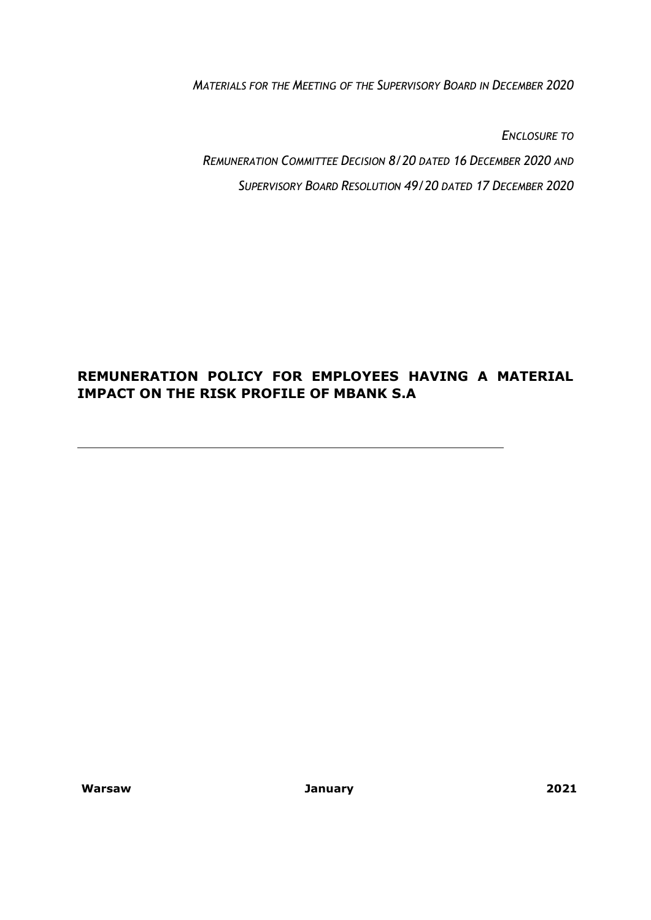*MATERIALS FOR THE MEETING OF THE SUPERVISORY BOARD IN DECEMBER 2020*

*ENCLOSURE TO REMUNERATION COMMITTEE DECISION 8/20 DATED 16 DECEMBER 2020 AND SUPERVISORY BOARD RESOLUTION 49/20 DATED 17 DECEMBER 2020*

# **REMUNERATION POLICY FOR EMPLOYEES HAVING A MATERIAL IMPACT ON THE RISK PROFILE OF MBANK S.A**

**Warsaw January 2021**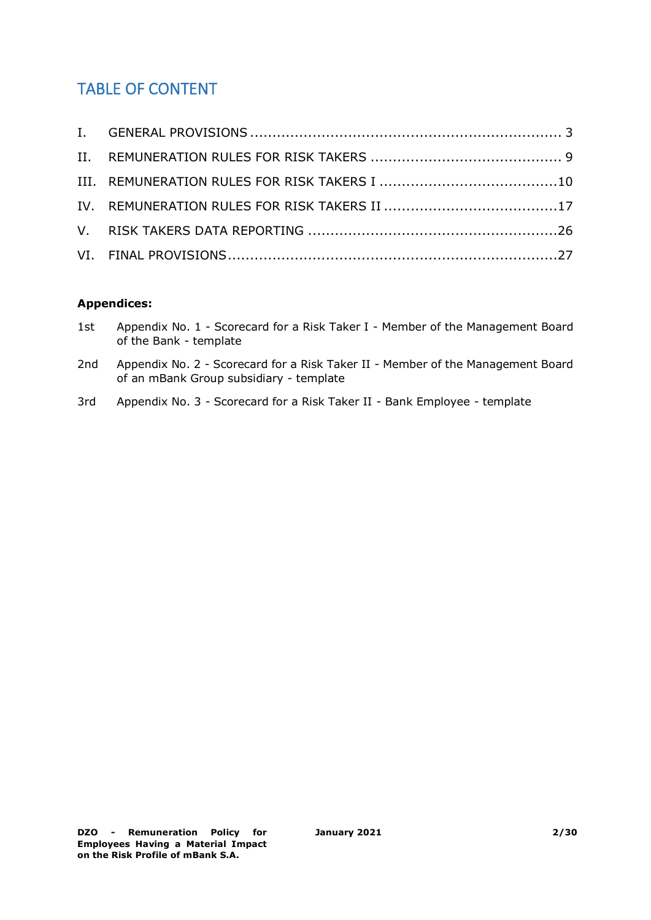# TABLE OF CONTENT

### **Appendices:**

| 1st | Appendix No. 1 - Scorecard for a Risk Taker I - Member of the Management Board<br>of the Bank - template                   |
|-----|----------------------------------------------------------------------------------------------------------------------------|
| 2nd | Appendix No. 2 - Scorecard for a Risk Taker II - Member of the Management Board<br>of an mBank Group subsidiary - template |
| 3rd | Appendix No. 3 - Scorecard for a Risk Taker II - Bank Employee - template                                                  |

**January 2021 2/30**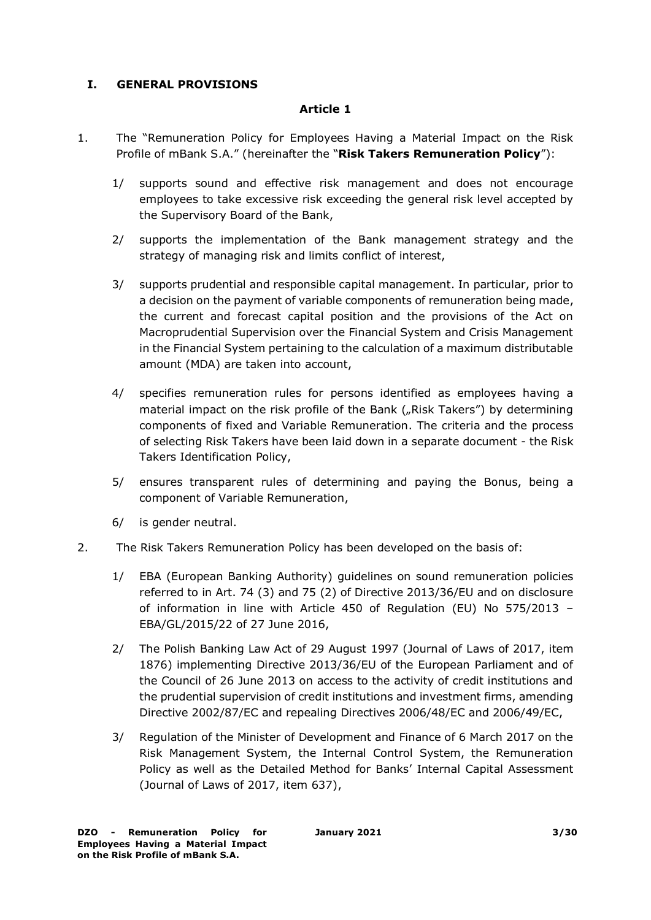### <span id="page-2-0"></span>**I. GENERAL PROVISIONS**

#### **Article 1**

- 1. The "Remuneration Policy for Employees Having a Material Impact on the Risk Profile of mBank S.A." (hereinafter the "**Risk Takers Remuneration Policy**"):
	- 1/ supports sound and effective risk management and does not encourage employees to take excessive risk exceeding the general risk level accepted by the Supervisory Board of the Bank,
	- 2/ supports the implementation of the Bank management strategy and the strategy of managing risk and limits conflict of interest,
	- 3/ supports prudential and responsible capital management. In particular, prior to a decision on the payment of variable components of remuneration being made, the current and forecast capital position and the provisions of the Act on Macroprudential Supervision over the Financial System and Crisis Management in the Financial System pertaining to the calculation of a maximum distributable amount (MDA) are taken into account,
	- 4/ specifies remuneration rules for persons identified as employees having a material impact on the risk profile of the Bank ("Risk Takers") by determining components of fixed and Variable Remuneration. The criteria and the process of selecting Risk Takers have been laid down in a separate document - the Risk Takers Identification Policy,
	- 5/ ensures transparent rules of determining and paying the Bonus, being a component of Variable Remuneration,
	- 6/ is gender neutral.
- 2. The Risk Takers Remuneration Policy has been developed on the basis of:
	- 1/ EBA (European Banking Authority) guidelines on sound remuneration policies referred to in Art. 74 (3) and 75 (2) of Directive 2013/36/EU and on disclosure of information in line with Article 450 of Regulation (EU) No 575/2013 – EBA/GL/2015/22 of 27 June 2016,
	- 2/ The Polish Banking Law Act of 29 August 1997 (Journal of Laws of 2017, item 1876) implementing Directive 2013/36/EU of the European Parliament and of the Council of 26 June 2013 on access to the activity of credit institutions and the prudential supervision of credit institutions and investment firms, amending Directive 2002/87/EC and repealing Directives 2006/48/EC and 2006/49/EC,
	- 3/ Regulation of the Minister of Development and Finance of 6 March 2017 on the Risk Management System, the Internal Control System, the Remuneration Policy as well as the Detailed Method for Banks' Internal Capital Assessment (Journal of Laws of 2017, item 637),

**January 2021 3/30**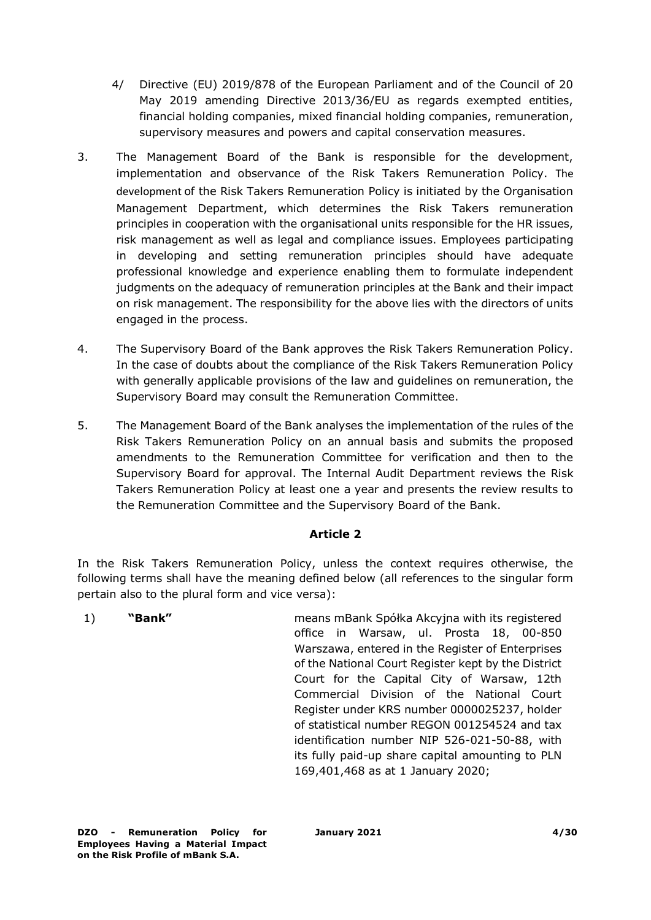- 4/ Directive (EU) 2019/878 of the European Parliament and of the Council of 20 May 2019 amending Directive 2013/36/EU as regards exempted entities, financial holding companies, mixed financial holding companies, remuneration, supervisory measures and powers and capital conservation measures.
- 3. The Management Board of the Bank is responsible for the development, implementation and observance of the Risk Takers Remuneration Policy. The development of the Risk Takers Remuneration Policy is initiated by the Organisation Management Department, which determines the Risk Takers remuneration principles in cooperation with the organisational units responsible for the HR issues, risk management as well as legal and compliance issues. Employees participating in developing and setting remuneration principles should have adequate professional knowledge and experience enabling them to formulate independent judgments on the adequacy of remuneration principles at the Bank and their impact on risk management. The responsibility for the above lies with the directors of units engaged in the process.
- 4. The Supervisory Board of the Bank approves the Risk Takers Remuneration Policy. In the case of doubts about the compliance of the Risk Takers Remuneration Policy with generally applicable provisions of the law and guidelines on remuneration, the Supervisory Board may consult the Remuneration Committee.
- 5. The Management Board of the Bank analyses the implementation of the rules of the Risk Takers Remuneration Policy on an annual basis and submits the proposed amendments to the Remuneration Committee for verification and then to the Supervisory Board for approval. The Internal Audit Department reviews the Risk Takers Remuneration Policy at least one a year and presents the review results to the Remuneration Committee and the Supervisory Board of the Bank.

In the Risk Takers Remuneration Policy, unless the context requires otherwise, the following terms shall have the meaning defined below (all references to the singular form pertain also to the plural form and vice versa):

1) **"Bank"** means mBank Spółka Akcyjna with its registered office in Warsaw, ul. Prosta 18, 00-850 Warszawa, entered in the Register of Enterprises of the National Court Register kept by the District Court for the Capital City of Warsaw, 12th Commercial Division of the National Court Register under KRS number 0000025237, holder of statistical number REGON 001254524 and tax identification number NIP 526-021-50-88, with its fully paid-up share capital amounting to PLN 169,401,468 as at 1 January 2020;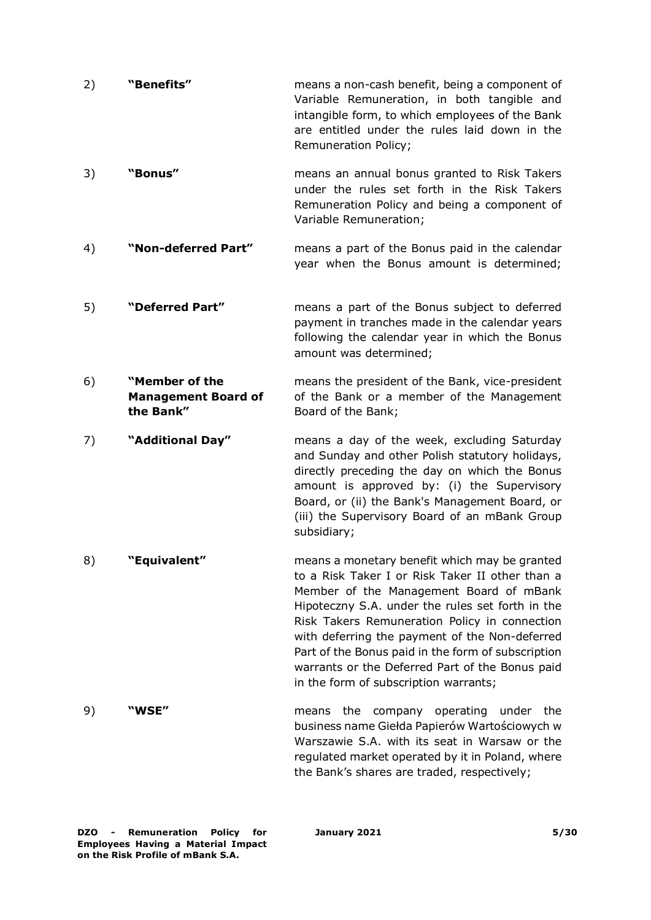| 2) | "Benefits" | means a non-cash benefit, being a component of                                                                                  |
|----|------------|---------------------------------------------------------------------------------------------------------------------------------|
|    |            | Variable Remuneration, in both tangible and                                                                                     |
|    |            | intangible form, to which employees of the Bank<br>are entitled under the rules laid down in the<br><b>Remuneration Policy;</b> |

- 3) **"Bonus"** means an annual bonus granted to Risk Takers under the rules set forth in the Risk Takers Remuneration Policy and being a component of Variable Remuneration;
- 4) **"Non-deferred Part"** means a part of the Bonus paid in the calendar year when the Bonus amount is determined;
- 5) **"Deferred Part"** means a part of the Bonus subject to deferred payment in tranches made in the calendar years following the calendar year in which the Bonus amount was determined;
- 6) **"Member of the Management Board of the Bank"** means the president of the Bank, vice-president of the Bank or a member of the Management Board of the Bank;
- 7) **"Additional Day"** means a day of the week, excluding Saturday and Sunday and other Polish statutory holidays, directly preceding the day on which the Bonus amount is approved by: (i) the Supervisory Board, or (ii) the Bank's Management Board, or (iii) the Supervisory Board of an mBank Group subsidiary;
- 8) **"Equivalent"** means a monetary benefit which may be granted to a Risk Taker I or Risk Taker II other than a Member of the Management Board of mBank Hipoteczny S.A. under the rules set forth in the Risk Takers Remuneration Policy in connection with deferring the payment of the Non-deferred Part of the Bonus paid in the form of subscription warrants or the Deferred Part of the Bonus paid in the form of subscription warrants;
- 9) **"WSE"** means the company operating under the business name Giełda Papierów Wartościowych w Warszawie S.A. with its seat in Warsaw or the regulated market operated by it in Poland, where the Bank's shares are traded, respectively;

**DZO - Remuneration Policy for Employees Having a Material Impact on the Risk Profile of mBank S.A.**

**January 2021 5/30**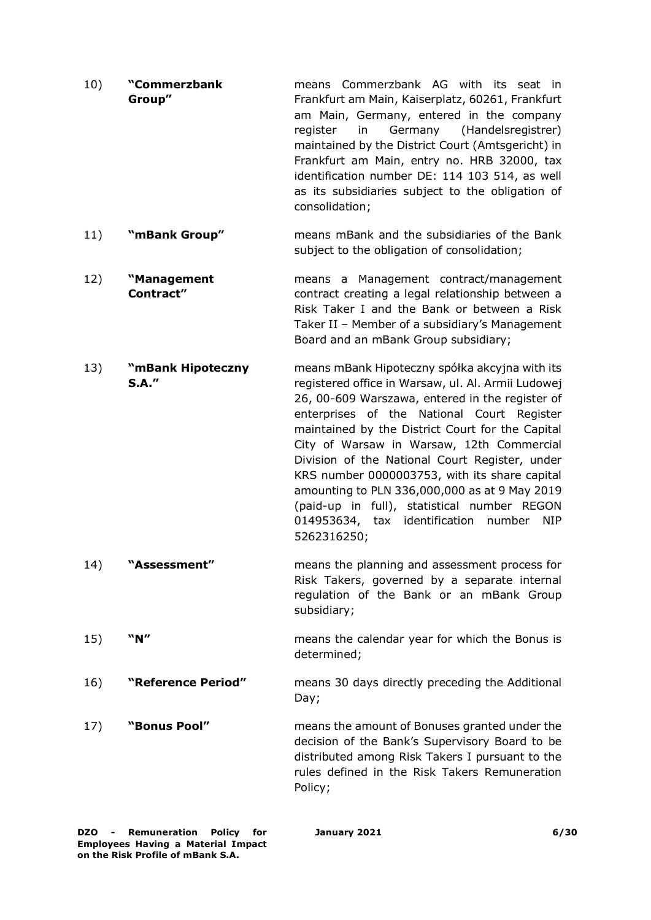| 10) | "Commerzbank | means Commerzbank AG with its seat in                              |
|-----|--------------|--------------------------------------------------------------------|
|     | Group"       | Frankfurt am Main, Kaiserplatz, 60261, Frankfurt                   |
|     |              | am Main, Germany, entered in the company                           |
|     |              | register in Germany (Handelsregistrer)                             |
|     |              | maintained by the District Court (Amtsgericht) in                  |
|     |              | Frankfurt am Main, entry no. HRB 32000, tax                        |
|     |              | identification number DE: 114 103 514, as well                     |
|     |              | as its subsidiaries subject to the obligation of<br>consolidation; |

- 11) **"mBank Group"** means mBank and the subsidiaries of the Bank subject to the obligation of consolidation;
- 12) **"Management Contract"** means a Management contract/management contract creating a legal relationship between a Risk Taker I and the Bank or between a Risk Taker II – Member of a subsidiary's Management Board and an mBank Group subsidiary;
- 13) **"mBank Hipoteczny S.A."** means mBank Hipoteczny spółka akcyjna with its registered office in Warsaw, ul. Al. Armii Ludowej 26, 00-609 Warszawa, entered in the register of enterprises of the National Court Register maintained by the District Court for the Capital City of Warsaw in Warsaw, 12th Commercial Division of the National Court Register, under KRS number 0000003753, with its share capital amounting to PLN 336,000,000 as at 9 May 2019 (paid-up in full), statistical number REGON 014953634, tax identification number NIP 5262316250;
- 14) **"Assessment"** means the planning and assessment process for Risk Takers, governed by a separate internal regulation of the Bank or an mBank Group subsidiary;
- 15) **"N"** means the calendar year for which the Bonus is determined;
- 16) **"Reference Period"** means 30 days directly preceding the Additional Day;
- 17) **"Bonus Pool"** means the amount of Bonuses granted under the decision of the Bank's Supervisory Board to be distributed among Risk Takers I pursuant to the rules defined in the Risk Takers Remuneration Policy;

**January 2021 6/30**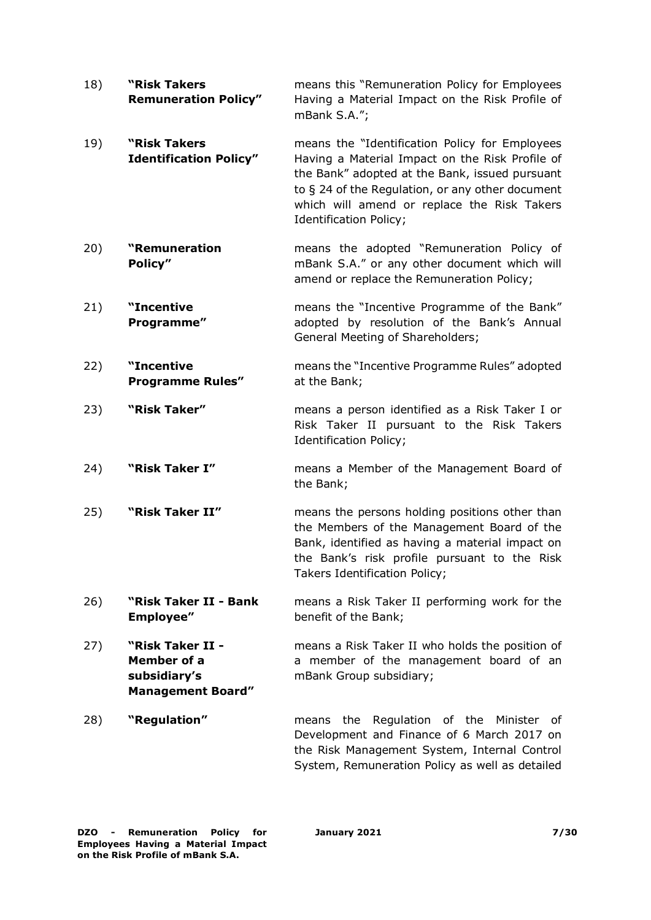| 18) | "Risk Takers<br><b>Remuneration Policy"</b>                                 | means this "Remuneration Policy for Employees<br>Having a Material Impact on the Risk Profile of<br>mBank S.A.";                                                                                                                                                                 |
|-----|-----------------------------------------------------------------------------|----------------------------------------------------------------------------------------------------------------------------------------------------------------------------------------------------------------------------------------------------------------------------------|
| 19) | "Risk Takers<br><b>Identification Policy"</b>                               | means the "Identification Policy for Employees<br>Having a Material Impact on the Risk Profile of<br>the Bank" adopted at the Bank, issued pursuant<br>to § 24 of the Regulation, or any other document<br>which will amend or replace the Risk Takers<br>Identification Policy; |
| 20) | "Remuneration<br>Policy"                                                    | means the adopted "Remuneration Policy of<br>mBank S.A." or any other document which will<br>amend or replace the Remuneration Policy;                                                                                                                                           |
| 21) | "Incentive<br>Programme"                                                    | means the "Incentive Programme of the Bank"<br>adopted by resolution of the Bank's Annual<br>General Meeting of Shareholders;                                                                                                                                                    |
| 22) | "Incentive<br><b>Programme Rules"</b>                                       | means the "Incentive Programme Rules" adopted<br>at the Bank;                                                                                                                                                                                                                    |
| 23) | "Risk Taker"                                                                | means a person identified as a Risk Taker I or<br>Risk Taker II pursuant to the Risk Takers<br>Identification Policy;                                                                                                                                                            |
| 24) | "Risk Taker I"                                                              | means a Member of the Management Board of<br>the Bank;                                                                                                                                                                                                                           |
| 25) | "Risk Taker II"                                                             | means the persons holding positions other than<br>the Members of the Management Board of the<br>Bank, identified as having a material impact on<br>the Bank's risk profile pursuant to the Risk<br>Takers Identification Policy;                                                 |
| 26) | "Risk Taker II - Bank<br><b>Employee"</b>                                   | means a Risk Taker II performing work for the<br>benefit of the Bank;                                                                                                                                                                                                            |
| 27) | "Risk Taker II -<br>Member of a<br>subsidiary's<br><b>Management Board"</b> | means a Risk Taker II who holds the position of<br>a member of the management board of an<br>mBank Group subsidiary;                                                                                                                                                             |
| 28) | "Regulation"                                                                | Regulation of the<br>Minister of<br>the<br>means<br>Development and Finance of 6 March 2017 on<br>the Risk Management System, Internal Control<br>System, Remuneration Policy as well as detailed                                                                                |

**January 2021 7/30**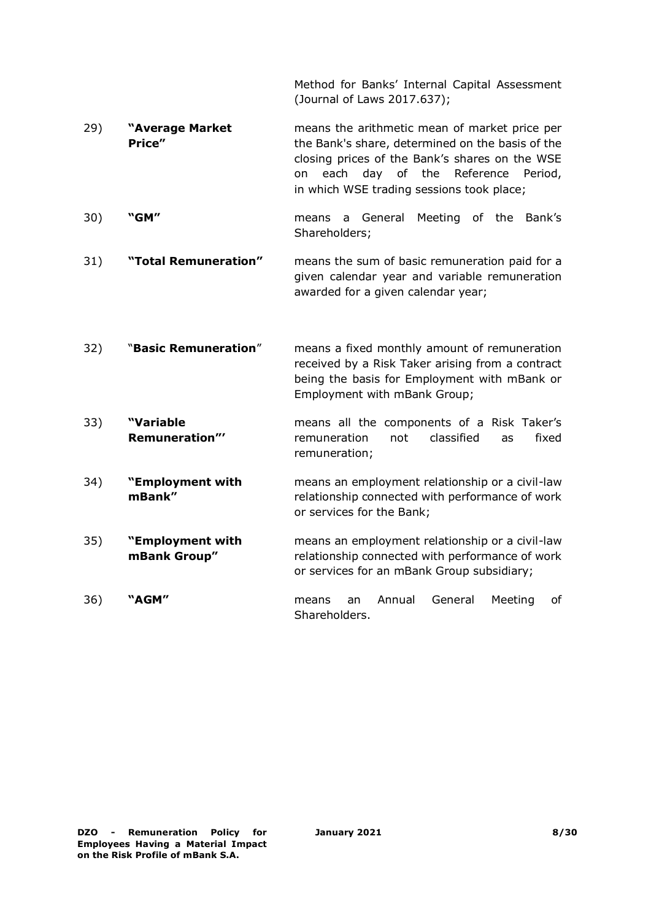Method for Banks' Internal Capital Assessment (Journal of Laws 2017.637);

- 29) **"Average Market Price"** means the arithmetic mean of market price per the Bank's share, determined on the basis of the closing prices of the Bank's shares on the WSE on each day of the Reference Period, in which WSE trading sessions took place;
- 30) **"GM"** means a General Meeting of the Bank's Shareholders;
- 31) **"Total Remuneration"** means the sum of basic remuneration paid for a given calendar year and variable remuneration awarded for a given calendar year;
- 32) "**Basic Remuneration**" means a fixed monthly amount of remuneration received by a Risk Taker arising from a contract being the basis for Employment with mBank or Employment with mBank Group;
- 33) **"Variable Remuneration"'** means all the components of a Risk Taker's remuneration not classified as fixed remuneration;
- 34) **"Employment with mBank"** means an employment relationship or a civil-law relationship connected with performance of work or services for the Bank;
- 35) **"Employment with mBank Group"** means an employment relationship or a civil-law relationship connected with performance of work or services for an mBank Group subsidiary;
- 36) **"AGM"** means an Annual General Meeting of Shareholders.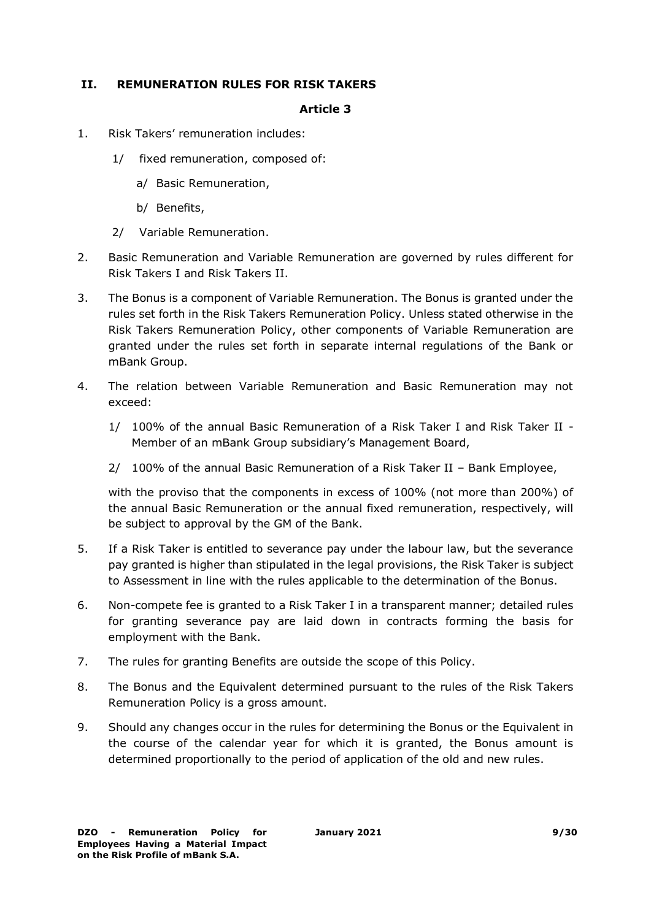#### <span id="page-8-0"></span>**II. REMUNERATION RULES FOR RISK TAKERS**

#### **Article 3**

- 1. Risk Takers' remuneration includes:
	- 1/ fixed remuneration, composed of:
		- a/ Basic Remuneration,
		- b/ Benefits,
	- 2/ Variable Remuneration.
- 2. Basic Remuneration and Variable Remuneration are governed by rules different for Risk Takers I and Risk Takers II.
- 3. The Bonus is a component of Variable Remuneration. The Bonus is granted under the rules set forth in the Risk Takers Remuneration Policy. Unless stated otherwise in the Risk Takers Remuneration Policy, other components of Variable Remuneration are granted under the rules set forth in separate internal regulations of the Bank or mBank Group.
- 4. The relation between Variable Remuneration and Basic Remuneration may not exceed:
	- 1/ 100% of the annual Basic Remuneration of a Risk Taker I and Risk Taker II Member of an mBank Group subsidiary's Management Board,
	- 2/ 100% of the annual Basic Remuneration of a Risk Taker II Bank Employee,

with the proviso that the components in excess of 100% (not more than 200%) of the annual Basic Remuneration or the annual fixed remuneration, respectively, will be subject to approval by the GM of the Bank.

- 5. If a Risk Taker is entitled to severance pay under the labour law, but the severance pay granted is higher than stipulated in the legal provisions, the Risk Taker is subject to Assessment in line with the rules applicable to the determination of the Bonus.
- 6. Non-compete fee is granted to a Risk Taker I in a transparent manner; detailed rules for granting severance pay are laid down in contracts forming the basis for employment with the Bank.
- 7. The rules for granting Benefits are outside the scope of this Policy.
- 8. The Bonus and the Equivalent determined pursuant to the rules of the Risk Takers Remuneration Policy is a gross amount.
- 9. Should any changes occur in the rules for determining the Bonus or the Equivalent in the course of the calendar year for which it is granted, the Bonus amount is determined proportionally to the period of application of the old and new rules.

**January 2021 9/30**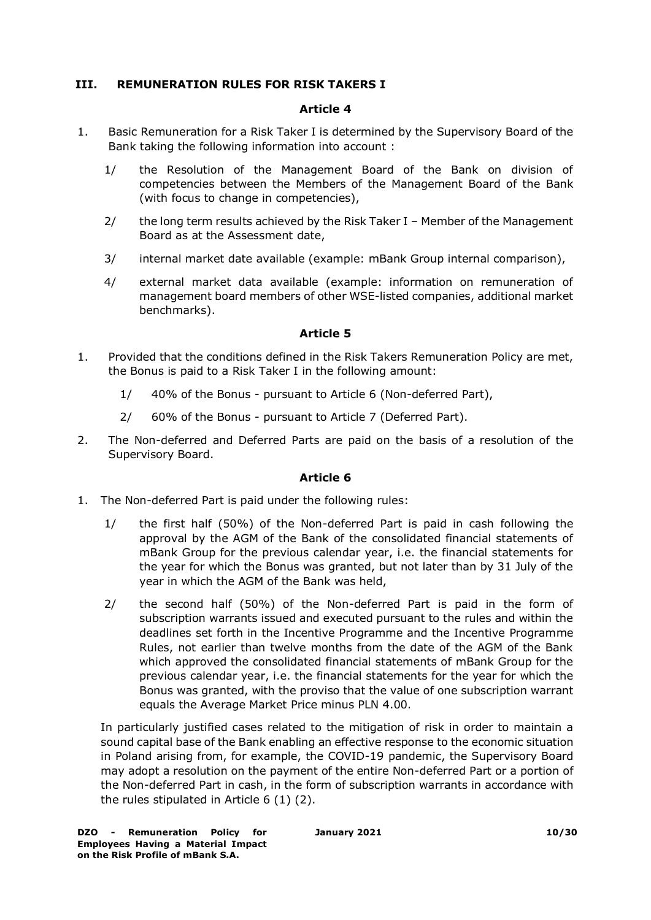#### <span id="page-9-0"></span>**III. REMUNERATION RULES FOR RISK TAKERS I**

#### **Article 4**

- 1. Basic Remuneration for a Risk Taker I is determined by the Supervisory Board of the Bank taking the following information into account :
	- 1/ the Resolution of the Management Board of the Bank on division of competencies between the Members of the Management Board of the Bank (with focus to change in competencies),
	- 2/ the long term results achieved by the Risk Taker I Member of the Management Board as at the Assessment date,
	- 3/ internal market date available (example: mBank Group internal comparison),
	- 4/ external market data available (example: information on remuneration of management board members of other WSE-listed companies, additional market benchmarks).

#### **Article 5**

- 1. Provided that the conditions defined in the Risk Takers Remuneration Policy are met, the Bonus is paid to a Risk Taker I in the following amount:
	- 1/ 40% of the Bonus pursuant to Article 6 (Non-deferred Part),
	- 2/ 60% of the Bonus pursuant to Article 7 (Deferred Part).
- 2. The Non-deferred and Deferred Parts are paid on the basis of a resolution of the Supervisory Board.

#### **Article 6**

- 1. The Non-deferred Part is paid under the following rules:
	- 1/ the first half (50%) of the Non-deferred Part is paid in cash following the approval by the AGM of the Bank of the consolidated financial statements of mBank Group for the previous calendar year, i.e. the financial statements for the year for which the Bonus was granted, but not later than by 31 July of the year in which the AGM of the Bank was held,
	- 2/ the second half (50%) of the Non-deferred Part is paid in the form of subscription warrants issued and executed pursuant to the rules and within the deadlines set forth in the Incentive Programme and the Incentive Programme Rules, not earlier than twelve months from the date of the AGM of the Bank which approved the consolidated financial statements of mBank Group for the previous calendar year, i.e. the financial statements for the year for which the Bonus was granted, with the proviso that the value of one subscription warrant equals the Average Market Price minus PLN 4.00.

In particularly justified cases related to the mitigation of risk in order to maintain a sound capital base of the Bank enabling an effective response to the economic situation in Poland arising from, for example, the COVID-19 pandemic, the Supervisory Board may adopt a resolution on the payment of the entire Non-deferred Part or a portion of the Non-deferred Part in cash, in the form of subscription warrants in accordance with the rules stipulated in Article 6 (1) (2).

**January 2021 10/30**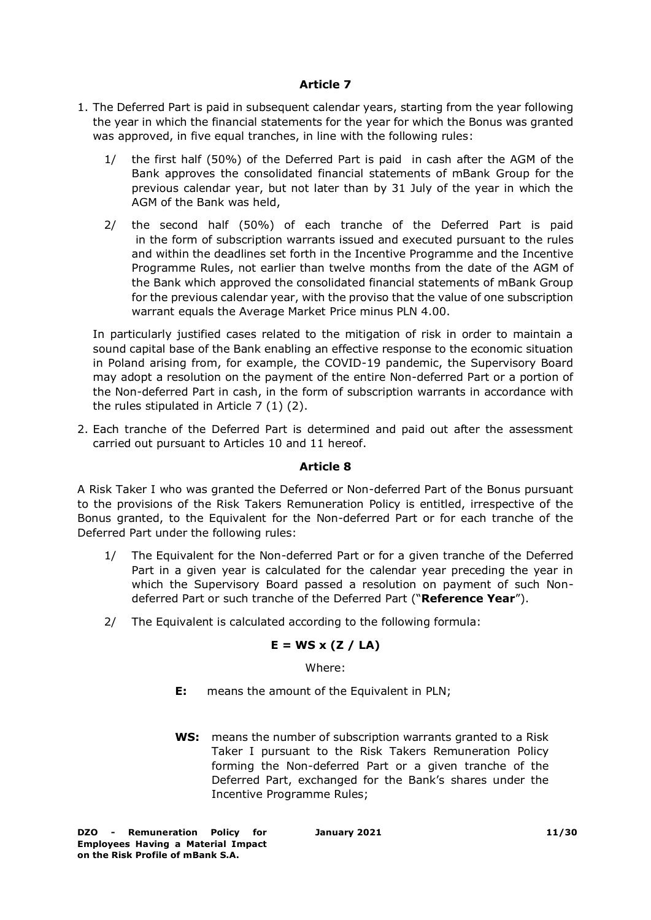- 1. The Deferred Part is paid in subsequent calendar years, starting from the year following the year in which the financial statements for the year for which the Bonus was granted was approved, in five equal tranches, in line with the following rules:
	- 1/ the first half (50%) of the Deferred Part is paid in cash after the AGM of the Bank approves the consolidated financial statements of mBank Group for the previous calendar year, but not later than by 31 July of the year in which the AGM of the Bank was held,
	- 2/ the second half (50%) of each tranche of the Deferred Part is paid in the form of subscription warrants issued and executed pursuant to the rules and within the deadlines set forth in the Incentive Programme and the Incentive Programme Rules, not earlier than twelve months from the date of the AGM of the Bank which approved the consolidated financial statements of mBank Group for the previous calendar year, with the proviso that the value of one subscription warrant equals the Average Market Price minus PLN 4.00.

In particularly justified cases related to the mitigation of risk in order to maintain a sound capital base of the Bank enabling an effective response to the economic situation in Poland arising from, for example, the COVID-19 pandemic, the Supervisory Board may adopt a resolution on the payment of the entire Non-deferred Part or a portion of the Non-deferred Part in cash, in the form of subscription warrants in accordance with the rules stipulated in Article 7 (1) (2).

2. Each tranche of the Deferred Part is determined and paid out after the assessment carried out pursuant to Articles 10 and 11 hereof.

#### **Article 8**

A Risk Taker I who was granted the Deferred or Non-deferred Part of the Bonus pursuant to the provisions of the Risk Takers Remuneration Policy is entitled, irrespective of the Bonus granted, to the Equivalent for the Non-deferred Part or for each tranche of the Deferred Part under the following rules:

- 1/ The Equivalent for the Non-deferred Part or for a given tranche of the Deferred Part in a given year is calculated for the calendar year preceding the year in which the Supervisory Board passed a resolution on payment of such Nondeferred Part or such tranche of the Deferred Part ("**Reference Year**").
- 2/ The Equivalent is calculated according to the following formula:

#### **E = WS x (Z / LA)**

Where:

- **E:** means the amount of the Equivalent in PLN;
- **WS:** means the number of subscription warrants granted to a Risk Taker I pursuant to the Risk Takers Remuneration Policy forming the Non-deferred Part or a given tranche of the Deferred Part, exchanged for the Bank's shares under the Incentive Programme Rules;

**January 2021 11/30**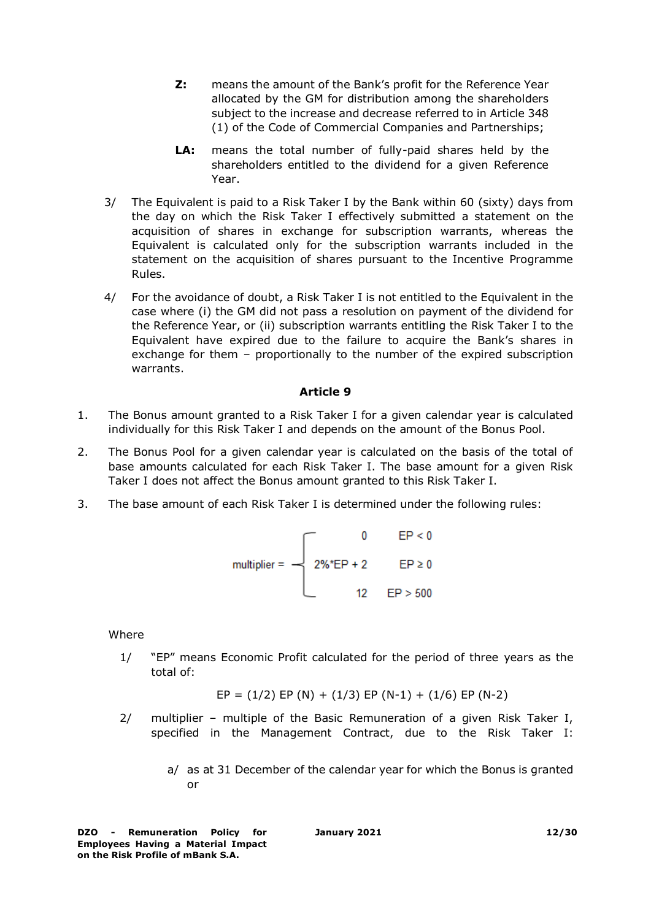- **Z:** means the amount of the Bank's profit for the Reference Year allocated by the GM for distribution among the shareholders subject to the increase and decrease referred to in Article 348 (1) of the Code of Commercial Companies and Partnerships;
- **LA:** means the total number of fully-paid shares held by the shareholders entitled to the dividend for a given Reference Year.
- 3/ The Equivalent is paid to a Risk Taker I by the Bank within 60 (sixty) days from the day on which the Risk Taker I effectively submitted a statement on the acquisition of shares in exchange for subscription warrants, whereas the Equivalent is calculated only for the subscription warrants included in the statement on the acquisition of shares pursuant to the Incentive Programme Rules.
- 4/ For the avoidance of doubt, a Risk Taker I is not entitled to the Equivalent in the case where (i) the GM did not pass a resolution on payment of the dividend for the Reference Year, or (ii) subscription warrants entitling the Risk Taker I to the Equivalent have expired due to the failure to acquire the Bank's shares in exchange for them – proportionally to the number of the expired subscription warrants.

- 1. The Bonus amount granted to a Risk Taker I for a given calendar year is calculated individually for this Risk Taker I and depends on the amount of the Bonus Pool.
- 2. The Bonus Pool for a given calendar year is calculated on the basis of the total of base amounts calculated for each Risk Taker I. The base amount for a given Risk Taker I does not affect the Bonus amount granted to this Risk Taker I.
- 3. The base amount of each Risk Taker I is determined under the following rules:

$$
\text{multiplier} = \begin{bmatrix} 0 & \text{EP} < 0 \\ 2\%^* \text{EP} + 2 & \text{EP} \ge 0 \\ 12 & \text{EP} > 500 \end{bmatrix}
$$

Where

1/ "EP" means Economic Profit calculated for the period of three years as the total of:

$$
EP = (1/2) EP (N) + (1/3) EP (N-1) + (1/6) EP (N-2)
$$

- 2/ multiplier multiple of the Basic Remuneration of a given Risk Taker I, specified in the Management Contract, due to the Risk Taker I:
	- a/ as at 31 December of the calendar year for which the Bonus is granted or

**January 2021 12/30**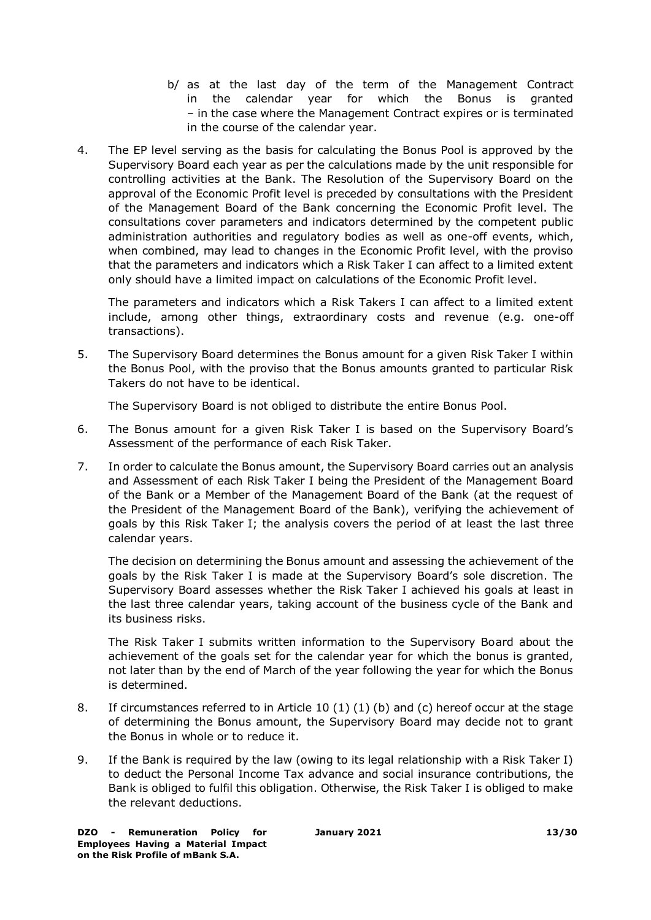- b/ as at the last day of the term of the Management Contract in the calendar year for which the Bonus is granted – in the case where the Management Contract expires or is terminated in the course of the calendar year.
- 4. The EP level serving as the basis for calculating the Bonus Pool is approved by the Supervisory Board each year as per the calculations made by the unit responsible for controlling activities at the Bank. The Resolution of the Supervisory Board on the approval of the Economic Profit level is preceded by consultations with the President of the Management Board of the Bank concerning the Economic Profit level. The consultations cover parameters and indicators determined by the competent public administration authorities and regulatory bodies as well as one-off events, which, when combined, may lead to changes in the Economic Profit level, with the proviso that the parameters and indicators which a Risk Taker I can affect to a limited extent only should have a limited impact on calculations of the Economic Profit level.

The parameters and indicators which a Risk Takers I can affect to a limited extent include, among other things, extraordinary costs and revenue (e.g. one-off transactions).

5. The Supervisory Board determines the Bonus amount for a given Risk Taker I within the Bonus Pool, with the proviso that the Bonus amounts granted to particular Risk Takers do not have to be identical.

The Supervisory Board is not obliged to distribute the entire Bonus Pool.

- 6. The Bonus amount for a given Risk Taker I is based on the Supervisory Board's Assessment of the performance of each Risk Taker.
- 7. In order to calculate the Bonus amount, the Supervisory Board carries out an analysis and Assessment of each Risk Taker I being the President of the Management Board of the Bank or a Member of the Management Board of the Bank (at the request of the President of the Management Board of the Bank), verifying the achievement of goals by this Risk Taker I; the analysis covers the period of at least the last three calendar years.

The decision on determining the Bonus amount and assessing the achievement of the goals by the Risk Taker I is made at the Supervisory Board's sole discretion. The Supervisory Board assesses whether the Risk Taker I achieved his goals at least in the last three calendar years, taking account of the business cycle of the Bank and its business risks.

The Risk Taker I submits written information to the Supervisory Board about the achievement of the goals set for the calendar year for which the bonus is granted, not later than by the end of March of the year following the year for which the Bonus is determined.

- 8. If circumstances referred to in Article 10 (1) (1) (b) and (c) hereof occur at the stage of determining the Bonus amount, the Supervisory Board may decide not to grant the Bonus in whole or to reduce it.
- 9. If the Bank is required by the law (owing to its legal relationship with a Risk Taker I) to deduct the Personal Income Tax advance and social insurance contributions, the Bank is obliged to fulfil this obligation. Otherwise, the Risk Taker I is obliged to make the relevant deductions.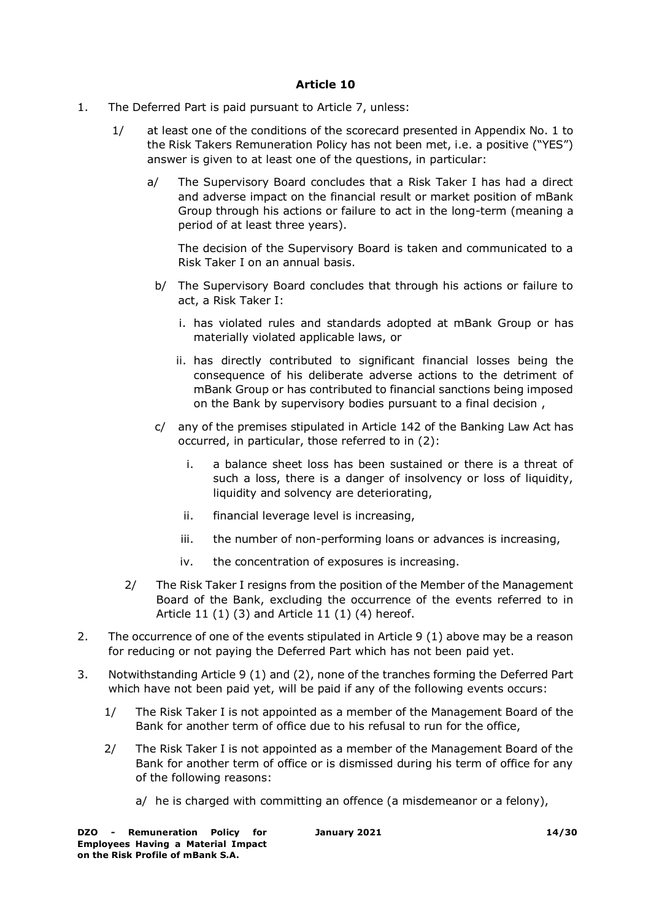- 1. The Deferred Part is paid pursuant to Article 7, unless:
	- 1/ at least one of the conditions of the scorecard presented in Appendix No. 1 to the Risk Takers Remuneration Policy has not been met, i.e. a positive ("YES") answer is given to at least one of the questions, in particular:
		- a/ The Supervisory Board concludes that a Risk Taker I has had a direct and adverse impact on the financial result or market position of mBank Group through his actions or failure to act in the long-term (meaning a period of at least three years).

The decision of the Supervisory Board is taken and communicated to a Risk Taker I on an annual basis.

- b/ The Supervisory Board concludes that through his actions or failure to act, a Risk Taker I:
	- i. has violated rules and standards adopted at mBank Group or has materially violated applicable laws, or
	- ii. has directly contributed to significant financial losses being the consequence of his deliberate adverse actions to the detriment of mBank Group or has contributed to financial sanctions being imposed on the Bank by supervisory bodies pursuant to a final decision ,
- c/ any of the premises stipulated in Article 142 of the Banking Law Act has occurred, in particular, those referred to in (2):
	- i. a balance sheet loss has been sustained or there is a threat of such a loss, there is a danger of insolvency or loss of liquidity, liquidity and solvency are deteriorating,
	- ii. financial leverage level is increasing,
	- iii. the number of non-performing loans or advances is increasing,
	- iv. the concentration of exposures is increasing.
- 2/ The Risk Taker I resigns from the position of the Member of the Management Board of the Bank, excluding the occurrence of the events referred to in Article 11 (1) (3) and Article 11 (1) (4) hereof.
- 2. The occurrence of one of the events stipulated in Article 9 (1) above may be a reason for reducing or not paying the Deferred Part which has not been paid yet.
- 3. Notwithstanding Article 9 (1) and (2), none of the tranches forming the Deferred Part which have not been paid yet, will be paid if any of the following events occurs:
	- 1/ The Risk Taker I is not appointed as a member of the Management Board of the Bank for another term of office due to his refusal to run for the office,
	- 2/ The Risk Taker I is not appointed as a member of the Management Board of the Bank for another term of office or is dismissed during his term of office for any of the following reasons:
		- a/ he is charged with committing an offence (a misdemeanor or a felony),

**January 2021 14/30**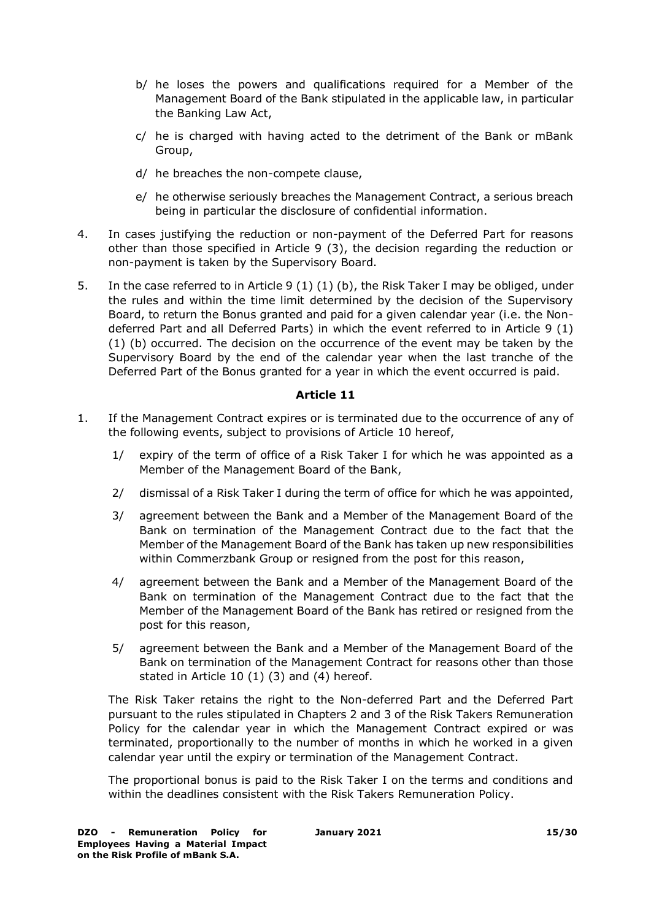- b/ he loses the powers and qualifications required for a Member of the Management Board of the Bank stipulated in the applicable law, in particular the Banking Law Act,
- c/ he is charged with having acted to the detriment of the Bank or mBank Group,
- d/ he breaches the non-compete clause,
- e/ he otherwise seriously breaches the Management Contract, a serious breach being in particular the disclosure of confidential information.
- 4. In cases justifying the reduction or non-payment of the Deferred Part for reasons other than those specified in Article 9 (3), the decision regarding the reduction or non-payment is taken by the Supervisory Board.
- 5. In the case referred to in Article 9 (1) (1) (b), the Risk Taker I may be obliged, under the rules and within the time limit determined by the decision of the Supervisory Board, to return the Bonus granted and paid for a given calendar year (i.e. the Nondeferred Part and all Deferred Parts) in which the event referred to in Article 9 (1) (1) (b) occurred. The decision on the occurrence of the event may be taken by the Supervisory Board by the end of the calendar year when the last tranche of the Deferred Part of the Bonus granted for a year in which the event occurred is paid.

- 1. If the Management Contract expires or is terminated due to the occurrence of any of the following events, subject to provisions of Article 10 hereof,
	- 1/ expiry of the term of office of a Risk Taker I for which he was appointed as a Member of the Management Board of the Bank,
	- 2/ dismissal of a Risk Taker I during the term of office for which he was appointed,
	- 3/ agreement between the Bank and a Member of the Management Board of the Bank on termination of the Management Contract due to the fact that the Member of the Management Board of the Bank has taken up new responsibilities within Commerzbank Group or resigned from the post for this reason,
	- 4/ agreement between the Bank and a Member of the Management Board of the Bank on termination of the Management Contract due to the fact that the Member of the Management Board of the Bank has retired or resigned from the post for this reason,
	- 5/ agreement between the Bank and a Member of the Management Board of the Bank on termination of the Management Contract for reasons other than those stated in Article 10 (1) (3) and (4) hereof.

The Risk Taker retains the right to the Non-deferred Part and the Deferred Part pursuant to the rules stipulated in Chapters 2 and 3 of the Risk Takers Remuneration Policy for the calendar year in which the Management Contract expired or was terminated, proportionally to the number of months in which he worked in a given calendar year until the expiry or termination of the Management Contract.

The proportional bonus is paid to the Risk Taker I on the terms and conditions and within the deadlines consistent with the Risk Takers Remuneration Policy.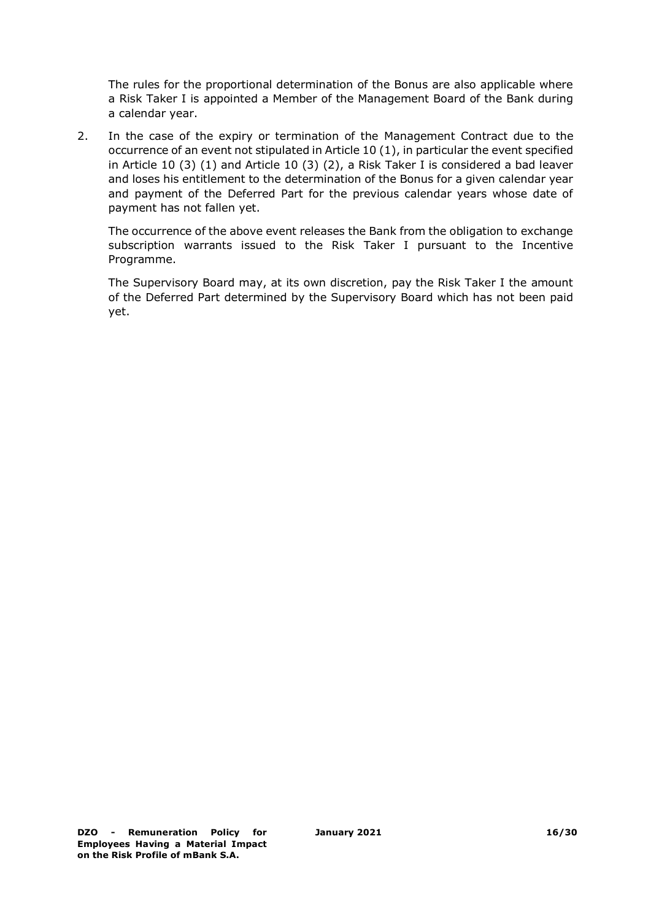The rules for the proportional determination of the Bonus are also applicable where a Risk Taker I is appointed a Member of the Management Board of the Bank during a calendar year.

2. In the case of the expiry or termination of the Management Contract due to the occurrence of an event not stipulated in Article 10 (1), in particular the event specified in Article 10 (3) (1) and Article 10 (3) (2), a Risk Taker I is considered a bad leaver and loses his entitlement to the determination of the Bonus for a given calendar year and payment of the Deferred Part for the previous calendar years whose date of payment has not fallen yet.

The occurrence of the above event releases the Bank from the obligation to exchange subscription warrants issued to the Risk Taker I pursuant to the Incentive Programme.

The Supervisory Board may, at its own discretion, pay the Risk Taker I the amount of the Deferred Part determined by the Supervisory Board which has not been paid yet.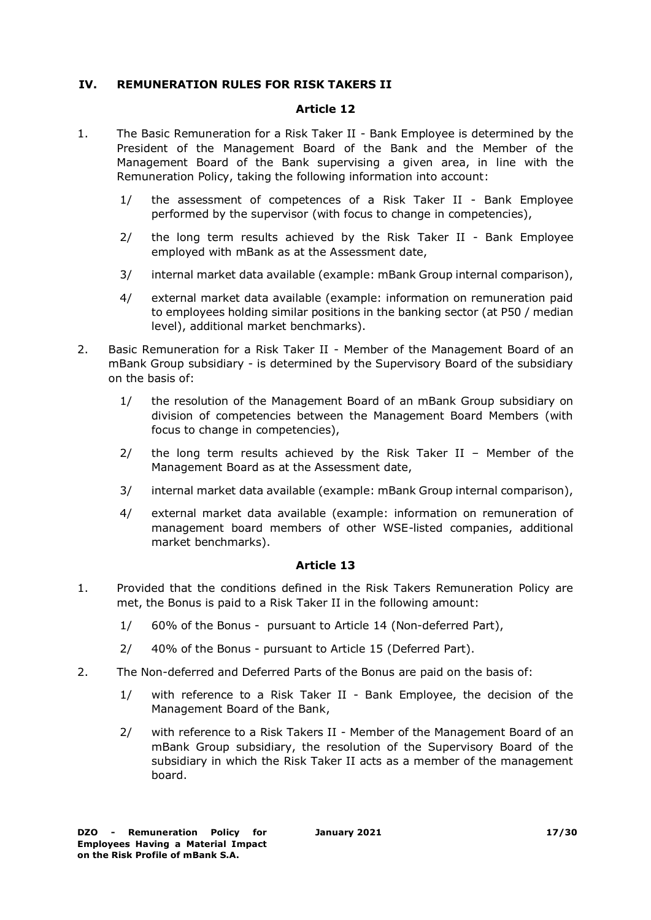#### <span id="page-16-0"></span>**IV. REMUNERATION RULES FOR RISK TAKERS II**

#### **Article 12**

- 1. The Basic Remuneration for a Risk Taker II Bank Employee is determined by the President of the Management Board of the Bank and the Member of the Management Board of the Bank supervising a given area, in line with the Remuneration Policy, taking the following information into account:
	- 1/ the assessment of competences of a Risk Taker II Bank Employee performed by the supervisor (with focus to change in competencies),
	- 2/ the long term results achieved by the Risk Taker II Bank Employee employed with mBank as at the Assessment date,
	- 3/ internal market data available (example: mBank Group internal comparison),
	- 4/ external market data available (example: information on remuneration paid to employees holding similar positions in the banking sector (at P50 / median level), additional market benchmarks).
- 2. Basic Remuneration for a Risk Taker II Member of the Management Board of an mBank Group subsidiary - is determined by the Supervisory Board of the subsidiary on the basis of:
	- 1/ the resolution of the Management Board of an mBank Group subsidiary on division of competencies between the Management Board Members (with focus to change in competencies),
	- 2/ the long term results achieved by the Risk Taker II Member of the Management Board as at the Assessment date,
	- 3/ internal market data available (example: mBank Group internal comparison),
	- 4/ external market data available (example: information on remuneration of management board members of other WSE-listed companies, additional market benchmarks).

#### **Article 13**

- 1. Provided that the conditions defined in the Risk Takers Remuneration Policy are met, the Bonus is paid to a Risk Taker II in the following amount:
	- 1/ 60% of the Bonus pursuant to Article 14 (Non-deferred Part),
	- 2/ 40% of the Bonus pursuant to Article 15 (Deferred Part).
- 2. The Non-deferred and Deferred Parts of the Bonus are paid on the basis of:
	- 1/ with reference to a Risk Taker II Bank Employee, the decision of the Management Board of the Bank,
	- 2/ with reference to a Risk Takers II Member of the Management Board of an mBank Group subsidiary, the resolution of the Supervisory Board of the subsidiary in which the Risk Taker II acts as a member of the management board.

**January 2021 17/30**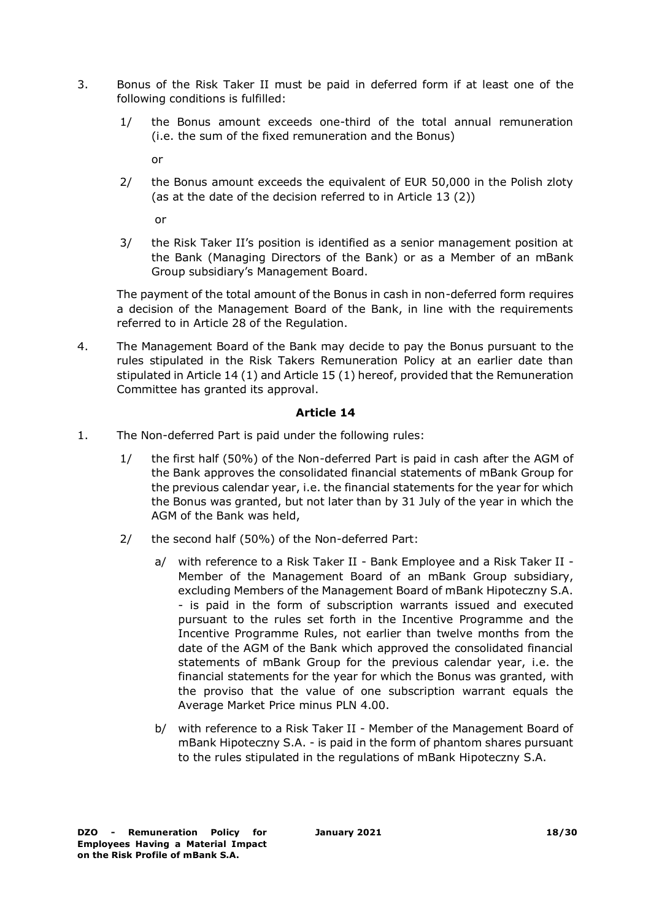- 3. Bonus of the Risk Taker II must be paid in deferred form if at least one of the following conditions is fulfilled:
	- 1/ the Bonus amount exceeds one-third of the total annual remuneration (i.e. the sum of the fixed remuneration and the Bonus)

or

2/ the Bonus amount exceeds the equivalent of EUR 50,000 in the Polish zloty (as at the date of the decision referred to in Article 13 (2))

or

3/ the Risk Taker II's position is identified as a senior management position at the Bank (Managing Directors of the Bank) or as a Member of an mBank Group subsidiary's Management Board.

The payment of the total amount of the Bonus in cash in non-deferred form requires a decision of the Management Board of the Bank, in line with the requirements referred to in Article 28 of the Regulation.

4. The Management Board of the Bank may decide to pay the Bonus pursuant to the rules stipulated in the Risk Takers Remuneration Policy at an earlier date than stipulated in Article 14 (1) and Article 15 (1) hereof, provided that the Remuneration Committee has granted its approval.

#### **Article 14**

- 1. The Non-deferred Part is paid under the following rules:
	- 1/ the first half (50%) of the Non-deferred Part is paid in cash after the AGM of the Bank approves the consolidated financial statements of mBank Group for the previous calendar year, i.e. the financial statements for the year for which the Bonus was granted, but not later than by 31 July of the year in which the AGM of the Bank was held,
	- 2/ the second half (50%) of the Non-deferred Part:
		- a/ with reference to a Risk Taker II Bank Employee and a Risk Taker II Member of the Management Board of an mBank Group subsidiary, excluding Members of the Management Board of mBank Hipoteczny S.A. - is paid in the form of subscription warrants issued and executed pursuant to the rules set forth in the Incentive Programme and the Incentive Programme Rules, not earlier than twelve months from the date of the AGM of the Bank which approved the consolidated financial statements of mBank Group for the previous calendar year, i.e. the financial statements for the year for which the Bonus was granted, with the proviso that the value of one subscription warrant equals the Average Market Price minus PLN 4.00.
		- b/ with reference to a Risk Taker II Member of the Management Board of mBank Hipoteczny S.A. - is paid in the form of phantom shares pursuant to the rules stipulated in the regulations of mBank Hipoteczny S.A.

**January 2021 18/30**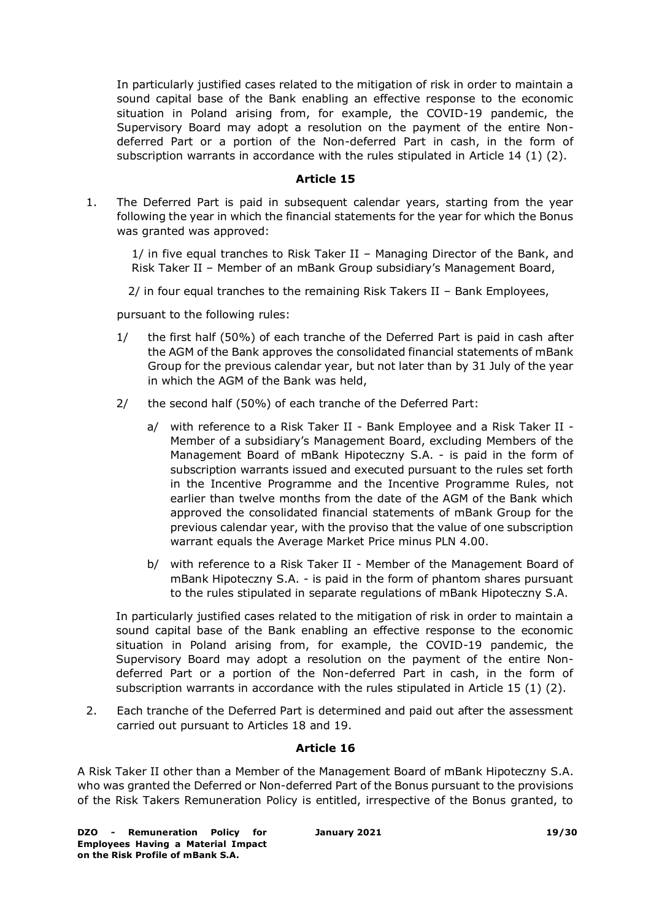In particularly justified cases related to the mitigation of risk in order to maintain a sound capital base of the Bank enabling an effective response to the economic situation in Poland arising from, for example, the COVID-19 pandemic, the Supervisory Board may adopt a resolution on the payment of the entire Nondeferred Part or a portion of the Non-deferred Part in cash, in the form of subscription warrants in accordance with the rules stipulated in Article 14 (1) (2).

#### **Article 15**

1. The Deferred Part is paid in subsequent calendar years, starting from the year following the year in which the financial statements for the year for which the Bonus was granted was approved:

1/ in five equal tranches to Risk Taker II – Managing Director of the Bank, and Risk Taker II – Member of an mBank Group subsidiary's Management Board,

2/ in four equal tranches to the remaining Risk Takers II – Bank Employees,

pursuant to the following rules:

- 1/ the first half (50%) of each tranche of the Deferred Part is paid in cash after the AGM of the Bank approves the consolidated financial statements of mBank Group for the previous calendar year, but not later than by 31 July of the year in which the AGM of the Bank was held,
- 2/ the second half (50%) of each tranche of the Deferred Part:
	- a/ with reference to a Risk Taker II Bank Employee and a Risk Taker II Member of a subsidiary's Management Board, excluding Members of the Management Board of mBank Hipoteczny S.A. - is paid in the form of subscription warrants issued and executed pursuant to the rules set forth in the Incentive Programme and the Incentive Programme Rules, not earlier than twelve months from the date of the AGM of the Bank which approved the consolidated financial statements of mBank Group for the previous calendar year, with the proviso that the value of one subscription warrant equals the Average Market Price minus PLN 4.00.
	- b/ with reference to a Risk Taker II Member of the Management Board of mBank Hipoteczny S.A. - is paid in the form of phantom shares pursuant to the rules stipulated in separate regulations of mBank Hipoteczny S.A.

In particularly justified cases related to the mitigation of risk in order to maintain a sound capital base of the Bank enabling an effective response to the economic situation in Poland arising from, for example, the COVID-19 pandemic, the Supervisory Board may adopt a resolution on the payment of the entire Nondeferred Part or a portion of the Non-deferred Part in cash, in the form of subscription warrants in accordance with the rules stipulated in Article 15 (1) (2).

2. Each tranche of the Deferred Part is determined and paid out after the assessment carried out pursuant to Articles 18 and 19.

#### **Article 16**

A Risk Taker II other than a Member of the Management Board of mBank Hipoteczny S.A. who was granted the Deferred or Non-deferred Part of the Bonus pursuant to the provisions of the Risk Takers Remuneration Policy is entitled, irrespective of the Bonus granted, to

**DZO - Remuneration Policy for Employees Having a Material Impact on the Risk Profile of mBank S.A.**

**January 2021 19/30**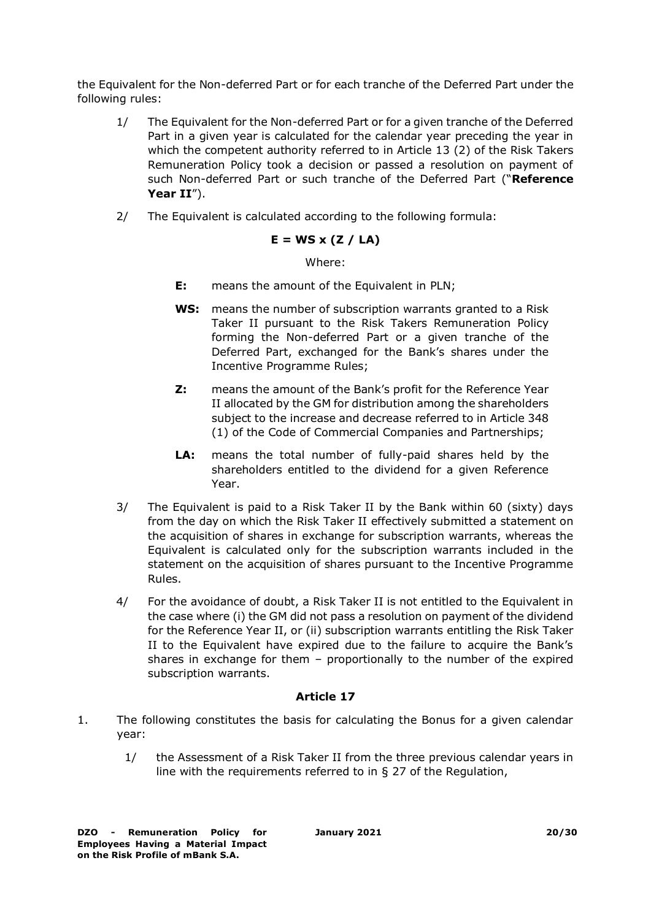the Equivalent for the Non-deferred Part or for each tranche of the Deferred Part under the following rules:

- 1/ The Equivalent for the Non-deferred Part or for a given tranche of the Deferred Part in a given year is calculated for the calendar year preceding the year in which the competent authority referred to in Article 13 (2) of the Risk Takers Remuneration Policy took a decision or passed a resolution on payment of such Non-deferred Part or such tranche of the Deferred Part ("**Reference Year II**").
- 2/ The Equivalent is calculated according to the following formula:

### $E = WS \times (Z / LA)$

Where:

- **E:** means the amount of the Equivalent in PLN;
- **WS:** means the number of subscription warrants granted to a Risk Taker II pursuant to the Risk Takers Remuneration Policy forming the Non-deferred Part or a given tranche of the Deferred Part, exchanged for the Bank's shares under the Incentive Programme Rules;
- **Z:** means the amount of the Bank's profit for the Reference Year II allocated by the GM for distribution among the shareholders subject to the increase and decrease referred to in Article 348 (1) of the Code of Commercial Companies and Partnerships;
- **LA:** means the total number of fully-paid shares held by the shareholders entitled to the dividend for a given Reference Year.
- 3/ The Equivalent is paid to a Risk Taker II by the Bank within 60 (sixty) days from the day on which the Risk Taker II effectively submitted a statement on the acquisition of shares in exchange for subscription warrants, whereas the Equivalent is calculated only for the subscription warrants included in the statement on the acquisition of shares pursuant to the Incentive Programme Rules.
- 4/ For the avoidance of doubt, a Risk Taker II is not entitled to the Equivalent in the case where (i) the GM did not pass a resolution on payment of the dividend for the Reference Year II, or (ii) subscription warrants entitling the Risk Taker II to the Equivalent have expired due to the failure to acquire the Bank's shares in exchange for them – proportionally to the number of the expired subscription warrants.

### **Article 17**

- 1. The following constitutes the basis for calculating the Bonus for a given calendar year:
	- 1/ the Assessment of a Risk Taker II from the three previous calendar years in line with the requirements referred to in § 27 of the Regulation,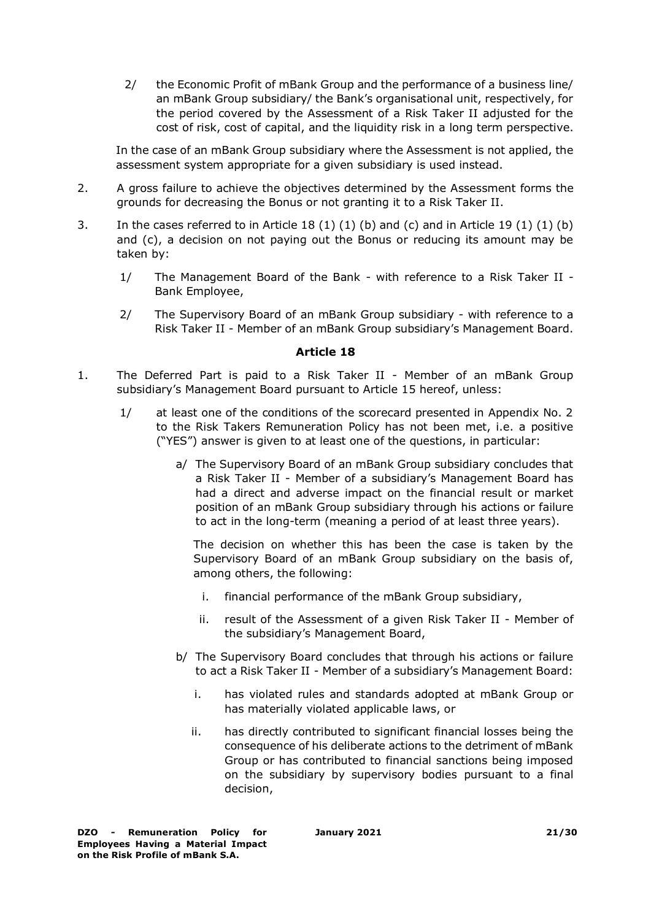2/ the Economic Profit of mBank Group and the performance of a business line/ an mBank Group subsidiary/ the Bank's organisational unit, respectively, for the period covered by the Assessment of a Risk Taker II adjusted for the cost of risk, cost of capital, and the liquidity risk in a long term perspective.

In the case of an mBank Group subsidiary where the Assessment is not applied, the assessment system appropriate for a given subsidiary is used instead.

- 2. A gross failure to achieve the objectives determined by the Assessment forms the grounds for decreasing the Bonus or not granting it to a Risk Taker II.
- 3. In the cases referred to in Article 18 (1) (1) (b) and (c) and in Article 19 (1) (1) (b) and (c), a decision on not paying out the Bonus or reducing its amount may be taken by:
	- 1/ The Management Board of the Bank with reference to a Risk Taker II Bank Employee,
	- 2/ The Supervisory Board of an mBank Group subsidiary with reference to a Risk Taker II - Member of an mBank Group subsidiary's Management Board.

#### **Article 18**

- 1. The Deferred Part is paid to a Risk Taker II Member of an mBank Group subsidiary's Management Board pursuant to Article 15 hereof, unless:
	- 1/ at least one of the conditions of the scorecard presented in Appendix No. 2 to the Risk Takers Remuneration Policy has not been met, i.e. a positive ("YES") answer is given to at least one of the questions, in particular:
		- a/ The Supervisory Board of an mBank Group subsidiary concludes that a Risk Taker II - Member of a subsidiary's Management Board has had a direct and adverse impact on the financial result or market position of an mBank Group subsidiary through his actions or failure to act in the long-term (meaning a period of at least three years).

The decision on whether this has been the case is taken by the Supervisory Board of an mBank Group subsidiary on the basis of, among others, the following:

- i. financial performance of the mBank Group subsidiary,
- ii. result of the Assessment of a given Risk Taker II Member of the subsidiary's Management Board,
- b/ The Supervisory Board concludes that through his actions or failure to act a Risk Taker II - Member of a subsidiary's Management Board:
	- i. has violated rules and standards adopted at mBank Group or has materially violated applicable laws, or
	- ii. has directly contributed to significant financial losses being the consequence of his deliberate actions to the detriment of mBank Group or has contributed to financial sanctions being imposed on the subsidiary by supervisory bodies pursuant to a final decision,

**January 2021 21/30**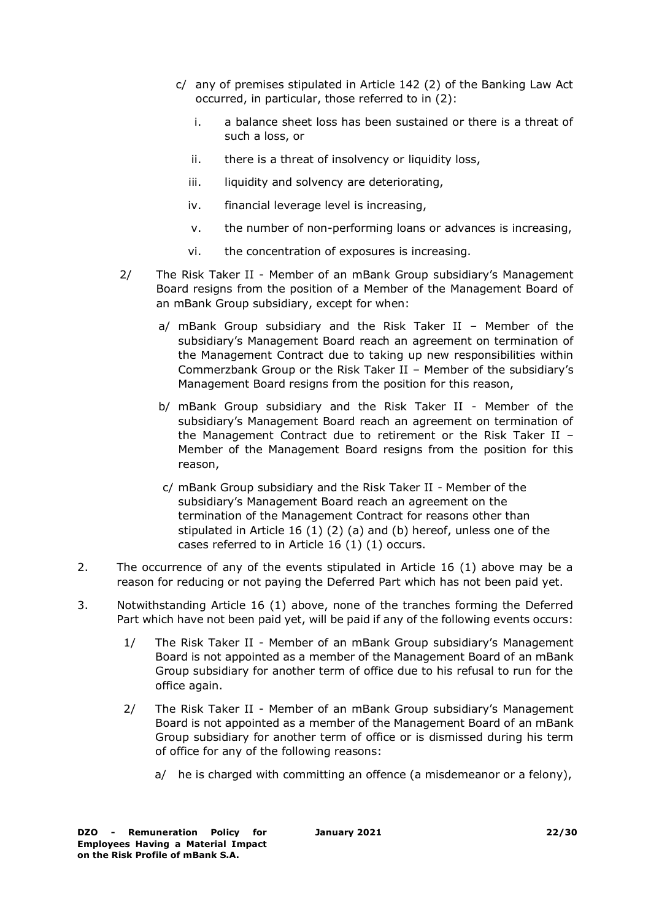- c/ any of premises stipulated in Article 142 (2) of the Banking Law Act occurred, in particular, those referred to in (2):
	- i. a balance sheet loss has been sustained or there is a threat of such a loss, or
	- ii. there is a threat of insolvency or liquidity loss,
	- iii. liquidity and solvency are deteriorating,
	- iv. financial leverage level is increasing,
	- v. the number of non-performing loans or advances is increasing,
	- vi. the concentration of exposures is increasing.
- 2/ The Risk Taker II Member of an mBank Group subsidiary's Management Board resigns from the position of a Member of the Management Board of an mBank Group subsidiary, except for when:
	- a/ mBank Group subsidiary and the Risk Taker II Member of the subsidiary's Management Board reach an agreement on termination of the Management Contract due to taking up new responsibilities within Commerzbank Group or the Risk Taker II – Member of the subsidiary's Management Board resigns from the position for this reason,
	- b/ mBank Group subsidiary and the Risk Taker II Member of the subsidiary's Management Board reach an agreement on termination of the Management Contract due to retirement or the Risk Taker II – Member of the Management Board resigns from the position for this reason,
	- c/ mBank Group subsidiary and the Risk Taker II Member of the subsidiary's Management Board reach an agreement on the termination of the Management Contract for reasons other than stipulated in Article 16 (1) (2) (a) and (b) hereof, unless one of the cases referred to in Article 16 (1) (1) occurs.
- 2. The occurrence of any of the events stipulated in Article 16 (1) above may be a reason for reducing or not paying the Deferred Part which has not been paid yet.
- 3. Notwithstanding Article 16 (1) above, none of the tranches forming the Deferred Part which have not been paid yet, will be paid if any of the following events occurs:
	- 1/ The Risk Taker II Member of an mBank Group subsidiary's Management Board is not appointed as a member of the Management Board of an mBank Group subsidiary for another term of office due to his refusal to run for the office again.
	- 2/ The Risk Taker II Member of an mBank Group subsidiary's Management Board is not appointed as a member of the Management Board of an mBank Group subsidiary for another term of office or is dismissed during his term of office for any of the following reasons:
		- a/ he is charged with committing an offence (a misdemeanor or a felony),

**January 2021 22/30**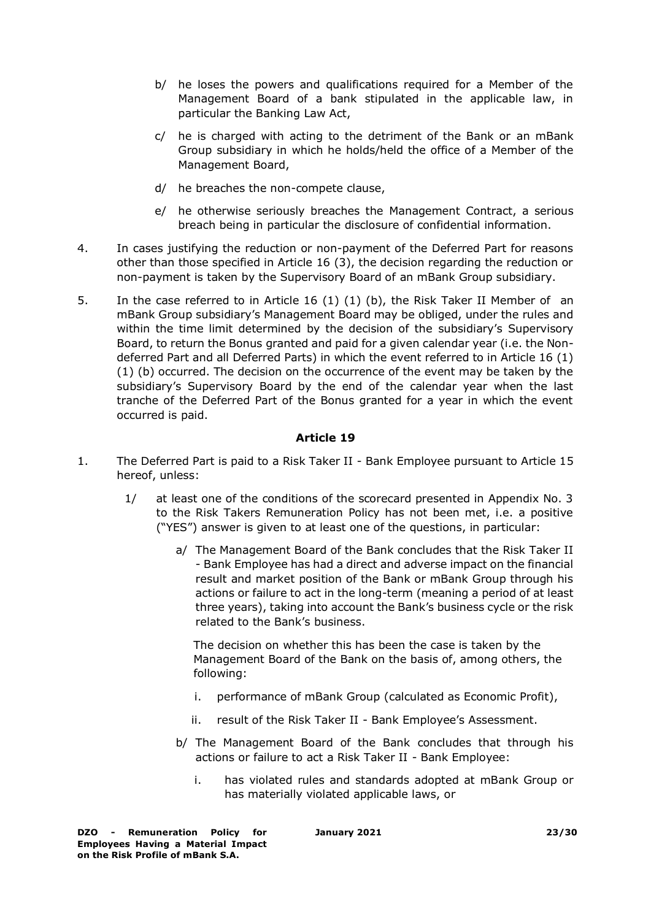- b/ he loses the powers and qualifications required for a Member of the Management Board of a bank stipulated in the applicable law, in particular the Banking Law Act,
- c/ he is charged with acting to the detriment of the Bank or an mBank Group subsidiary in which he holds/held the office of a Member of the Management Board,
- d/ he breaches the non-compete clause,
- e/ he otherwise seriously breaches the Management Contract, a serious breach being in particular the disclosure of confidential information.
- 4. In cases justifying the reduction or non-payment of the Deferred Part for reasons other than those specified in Article 16 (3), the decision regarding the reduction or non-payment is taken by the Supervisory Board of an mBank Group subsidiary.
- 5. In the case referred to in Article 16 (1) (1) (b), the Risk Taker II Member of an mBank Group subsidiary's Management Board may be obliged, under the rules and within the time limit determined by the decision of the subsidiary's Supervisory Board, to return the Bonus granted and paid for a given calendar year (i.e. the Nondeferred Part and all Deferred Parts) in which the event referred to in Article 16 (1) (1) (b) occurred. The decision on the occurrence of the event may be taken by the subsidiary's Supervisory Board by the end of the calendar year when the last tranche of the Deferred Part of the Bonus granted for a year in which the event occurred is paid.

- 1. The Deferred Part is paid to a Risk Taker II Bank Employee pursuant to Article 15 hereof, unless:
	- 1/ at least one of the conditions of the scorecard presented in Appendix No. 3 to the Risk Takers Remuneration Policy has not been met, i.e. a positive ("YES") answer is given to at least one of the questions, in particular:
		- a/ The Management Board of the Bank concludes that the Risk Taker II - Bank Employee has had a direct and adverse impact on the financial result and market position of the Bank or mBank Group through his actions or failure to act in the long-term (meaning a period of at least three years), taking into account the Bank's business cycle or the risk related to the Bank's business.

The decision on whether this has been the case is taken by the Management Board of the Bank on the basis of, among others, the following:

- i. performance of mBank Group (calculated as Economic Profit),
- ii. result of the Risk Taker II Bank Employee's Assessment.
- b/ The Management Board of the Bank concludes that through his actions or failure to act a Risk Taker II - Bank Employee:
	- i. has violated rules and standards adopted at mBank Group or has materially violated applicable laws, or

**January 2021 23/30**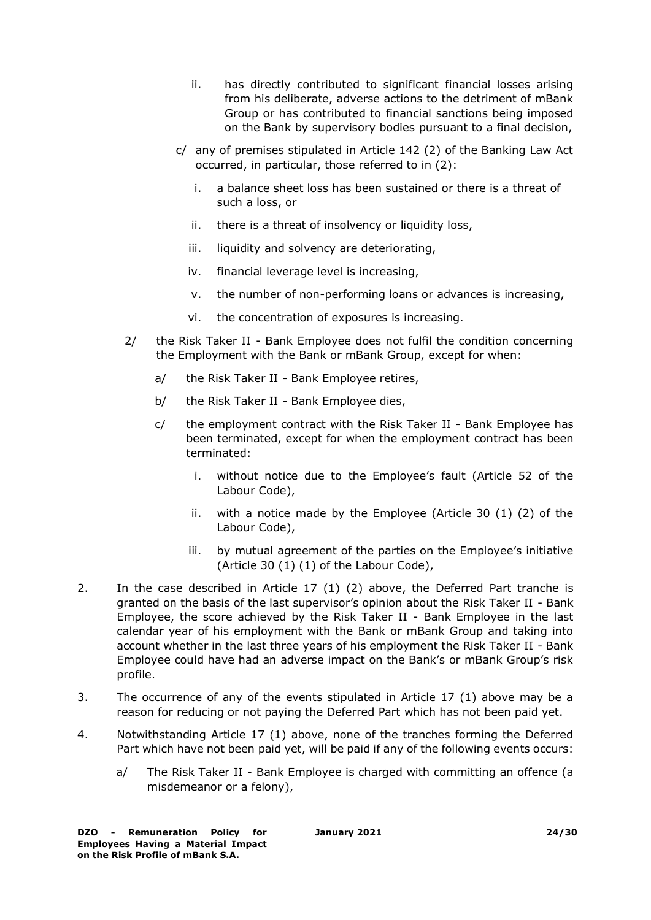- ii. has directly contributed to significant financial losses arising from his deliberate, adverse actions to the detriment of mBank Group or has contributed to financial sanctions being imposed on the Bank by supervisory bodies pursuant to a final decision,
- c/ any of premises stipulated in Article 142 (2) of the Banking Law Act occurred, in particular, those referred to in (2):
	- i. a balance sheet loss has been sustained or there is a threat of such a loss, or
	- ii. there is a threat of insolvency or liquidity loss,
	- iii. liquidity and solvency are deteriorating,
	- iv. financial leverage level is increasing,
	- v. the number of non-performing loans or advances is increasing,
	- vi. the concentration of exposures is increasing.
- 2/ the Risk Taker II Bank Employee does not fulfil the condition concerning the Employment with the Bank or mBank Group, except for when:
	- a/ the Risk Taker II Bank Employee retires,
	- b/ the Risk Taker II Bank Employee dies,
	- c/ the employment contract with the Risk Taker II Bank Employee has been terminated, except for when the employment contract has been terminated:
		- i. without notice due to the Employee's fault (Article 52 of the Labour Code),
		- ii. with a notice made by the Employee (Article 30 (1) (2) of the Labour Code),
		- iii. by mutual agreement of the parties on the Employee's initiative (Article 30 (1) (1) of the Labour Code),
- 2. In the case described in Article 17 (1) (2) above, the Deferred Part tranche is granted on the basis of the last supervisor's opinion about the Risk Taker II - Bank Employee, the score achieved by the Risk Taker II - Bank Employee in the last calendar year of his employment with the Bank or mBank Group and taking into account whether in the last three years of his employment the Risk Taker II - Bank Employee could have had an adverse impact on the Bank's or mBank Group's risk profile.
- 3. The occurrence of any of the events stipulated in Article 17 (1) above may be a reason for reducing or not paying the Deferred Part which has not been paid yet.
- 4. Notwithstanding Article 17 (1) above, none of the tranches forming the Deferred Part which have not been paid yet, will be paid if any of the following events occurs:
	- a/ The Risk Taker II Bank Employee is charged with committing an offence (a misdemeanor or a felony),

**January 2021 24/30**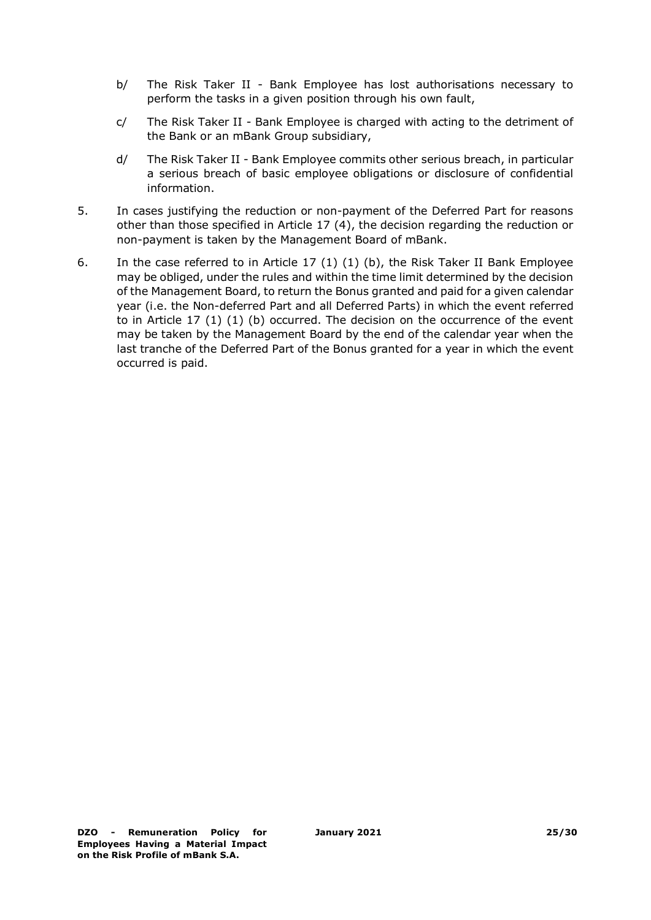- b/ The Risk Taker II Bank Employee has lost authorisations necessary to perform the tasks in a given position through his own fault,
- c/ The Risk Taker II Bank Employee is charged with acting to the detriment of the Bank or an mBank Group subsidiary,
- d/ The Risk Taker II Bank Employee commits other serious breach, in particular a serious breach of basic employee obligations or disclosure of confidential information.
- 5. In cases justifying the reduction or non-payment of the Deferred Part for reasons other than those specified in Article 17 (4), the decision regarding the reduction or non-payment is taken by the Management Board of mBank.
- 6. In the case referred to in Article 17 (1) (1) (b), the Risk Taker II Bank Employee may be obliged, under the rules and within the time limit determined by the decision of the Management Board, to return the Bonus granted and paid for a given calendar year (i.e. the Non-deferred Part and all Deferred Parts) in which the event referred to in Article 17 (1) (1) (b) occurred. The decision on the occurrence of the event may be taken by the Management Board by the end of the calendar year when the last tranche of the Deferred Part of the Bonus granted for a year in which the event occurred is paid.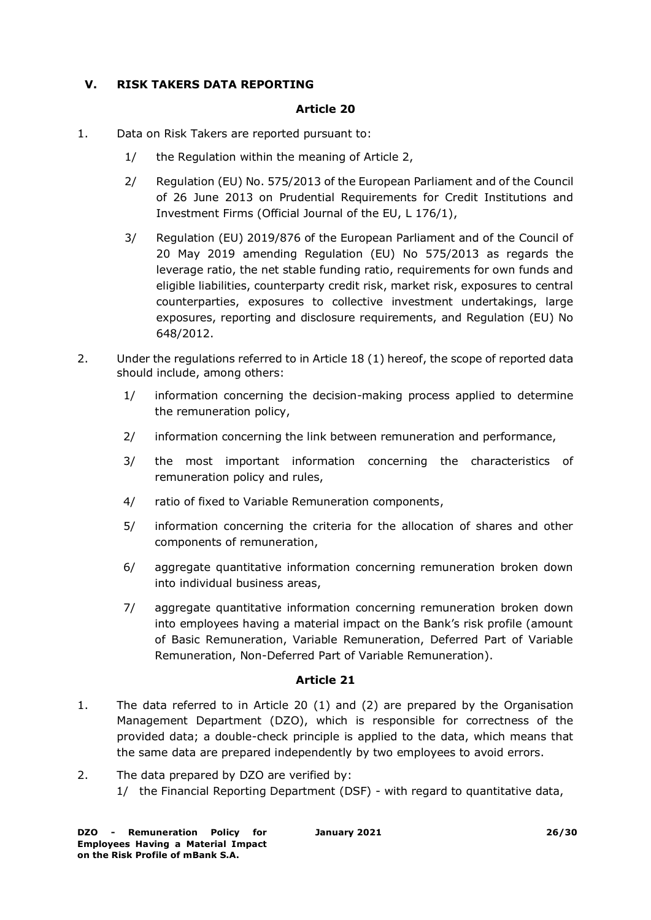#### <span id="page-25-0"></span>**V. RISK TAKERS DATA REPORTING**

#### **Article 20**

- 1. Data on Risk Takers are reported pursuant to:
	- 1/ the Regulation within the meaning of Article 2,
	- 2/ Regulation (EU) No. 575/2013 of the European Parliament and of the Council of 26 June 2013 on Prudential Requirements for Credit Institutions and Investment Firms (Official Journal of the EU, L 176/1),
	- 3/ Regulation (EU) 2019/876 of the European Parliament and of the Council of 20 May 2019 amending Regulation (EU) No 575/2013 as regards the leverage ratio, the net stable funding ratio, requirements for own funds and eligible liabilities, counterparty credit risk, market risk, exposures to central counterparties, exposures to collective investment undertakings, large exposures, reporting and disclosure requirements, and Regulation (EU) No 648/2012.
- 2. Under the regulations referred to in Article 18 (1) hereof, the scope of reported data should include, among others:
	- 1/ information concerning the decision-making process applied to determine the remuneration policy,
	- 2/ information concerning the link between remuneration and performance,
	- 3/ the most important information concerning the characteristics of remuneration policy and rules,
	- 4/ ratio of fixed to Variable Remuneration components,
	- 5/ information concerning the criteria for the allocation of shares and other components of remuneration,
	- 6/ aggregate quantitative information concerning remuneration broken down into individual business areas,
	- 7/ aggregate quantitative information concerning remuneration broken down into employees having a material impact on the Bank's risk profile (amount of Basic Remuneration, Variable Remuneration, Deferred Part of Variable Remuneration, Non-Deferred Part of Variable Remuneration).

#### **Article 21**

- 1. The data referred to in Article 20 (1) and (2) are prepared by the Organisation Management Department (DZO), which is responsible for correctness of the provided data; a double-check principle is applied to the data, which means that the same data are prepared independently by two employees to avoid errors.
- 2. The data prepared by DZO are verified by: 1/ the Financial Reporting Department (DSF) - with regard to quantitative data,

**January 2021 26/30**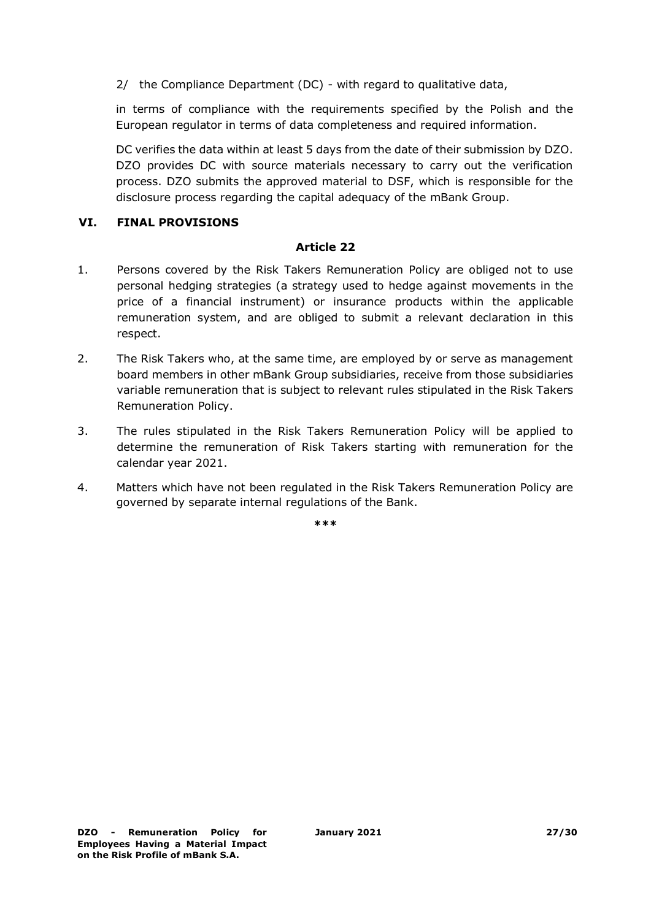2/ the Compliance Department (DC) - with regard to qualitative data,

in terms of compliance with the requirements specified by the Polish and the European regulator in terms of data completeness and required information.

DC verifies the data within at least 5 days from the date of their submission by DZO. DZO provides DC with source materials necessary to carry out the verification process. DZO submits the approved material to DSF, which is responsible for the disclosure process regarding the capital adequacy of the mBank Group.

#### <span id="page-26-0"></span>**VI. FINAL PROVISIONS**

#### **Article 22**

- 1. Persons covered by the Risk Takers Remuneration Policy are obliged not to use personal hedging strategies (a strategy used to hedge against movements in the price of a financial instrument) or insurance products within the applicable remuneration system, and are obliged to submit a relevant declaration in this respect.
- 2. The Risk Takers who, at the same time, are employed by or serve as management board members in other mBank Group subsidiaries, receive from those subsidiaries variable remuneration that is subject to relevant rules stipulated in the Risk Takers Remuneration Policy.
- 3. The rules stipulated in the Risk Takers Remuneration Policy will be applied to determine the remuneration of Risk Takers starting with remuneration for the calendar year 2021.
- 4. Matters which have not been regulated in the Risk Takers Remuneration Policy are governed by separate internal regulations of the Bank.

**\*\*\***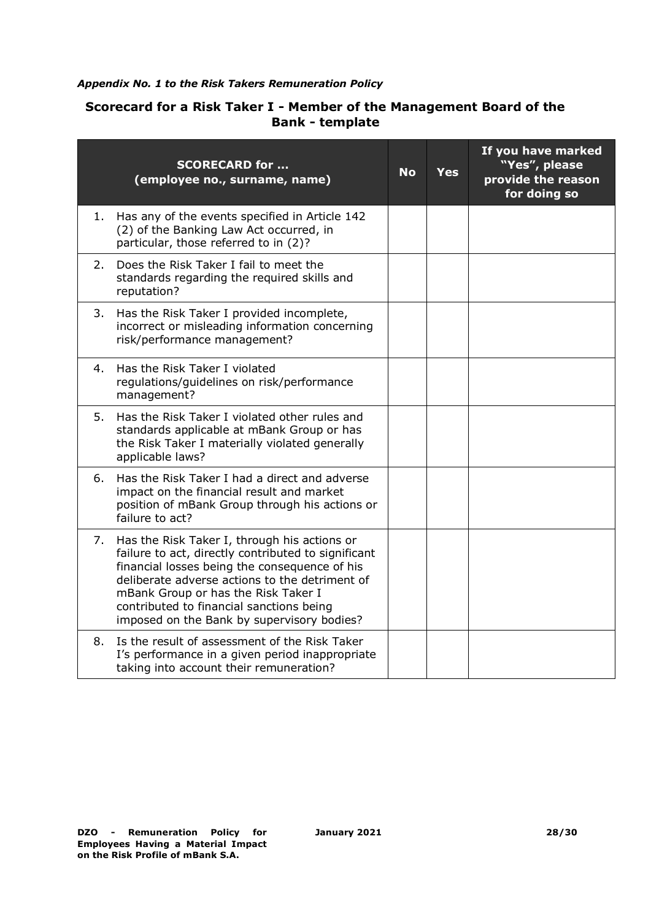#### *Appendix No. 1 to the Risk Takers Remuneration Policy*

# **Scorecard for a Risk Taker I - Member of the Management Board of the Bank - template**

|    | <b>SCORECARD for </b><br>(employee no., surname, name)                                                                                                                                                                                                                                                                                  | <b>No</b> | Yes | If you have marked<br>"Yes", please<br>provide the reason<br>for doing so |
|----|-----------------------------------------------------------------------------------------------------------------------------------------------------------------------------------------------------------------------------------------------------------------------------------------------------------------------------------------|-----------|-----|---------------------------------------------------------------------------|
| 1. | Has any of the events specified in Article 142<br>(2) of the Banking Law Act occurred, in<br>particular, those referred to in (2)?                                                                                                                                                                                                      |           |     |                                                                           |
| 2. | Does the Risk Taker I fail to meet the<br>standards regarding the required skills and<br>reputation?                                                                                                                                                                                                                                    |           |     |                                                                           |
| 3. | Has the Risk Taker I provided incomplete,<br>incorrect or misleading information concerning<br>risk/performance management?                                                                                                                                                                                                             |           |     |                                                                           |
| 4. | Has the Risk Taker I violated<br>regulations/guidelines on risk/performance<br>management?                                                                                                                                                                                                                                              |           |     |                                                                           |
| 5. | Has the Risk Taker I violated other rules and<br>standards applicable at mBank Group or has<br>the Risk Taker I materially violated generally<br>applicable laws?                                                                                                                                                                       |           |     |                                                                           |
| 6. | Has the Risk Taker I had a direct and adverse<br>impact on the financial result and market<br>position of mBank Group through his actions or<br>failure to act?                                                                                                                                                                         |           |     |                                                                           |
| 7. | Has the Risk Taker I, through his actions or<br>failure to act, directly contributed to significant<br>financial losses being the consequence of his<br>deliberate adverse actions to the detriment of<br>mBank Group or has the Risk Taker I<br>contributed to financial sanctions being<br>imposed on the Bank by supervisory bodies? |           |     |                                                                           |
| 8. | Is the result of assessment of the Risk Taker<br>I's performance in a given period inappropriate<br>taking into account their remuneration?                                                                                                                                                                                             |           |     |                                                                           |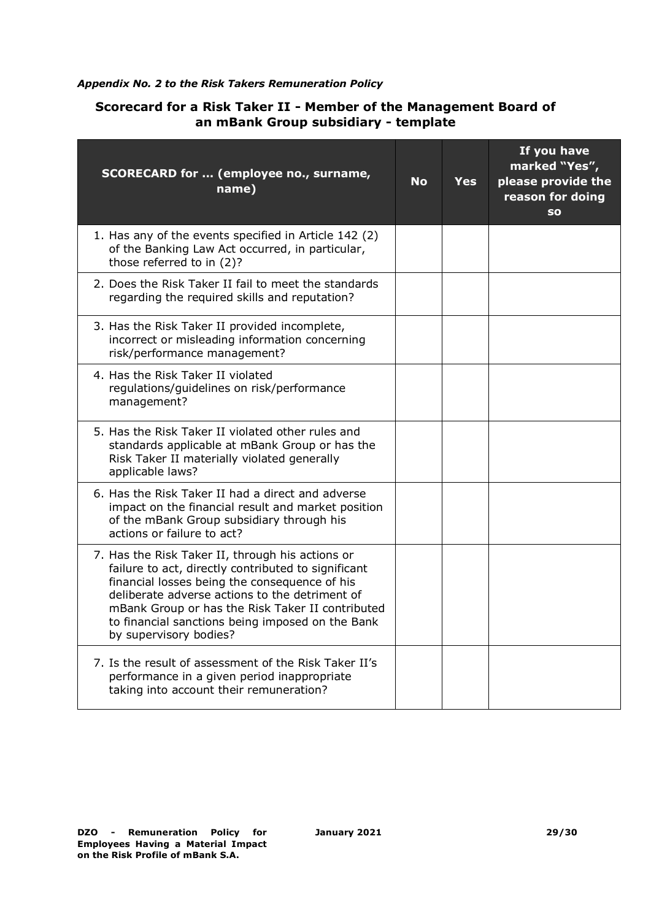#### *Appendix No. 2 to the Risk Takers Remuneration Policy*

# **Scorecard for a Risk Taker II - Member of the Management Board of an mBank Group subsidiary - template**

| SCORECARD for  (employee no., surname,<br>name)                                                                                                                                                                                                                                                                                              | <b>No</b> | <b>Yes</b> | If you have<br>marked "Yes",<br>please provide the<br>reason for doing<br><b>SO</b> |
|----------------------------------------------------------------------------------------------------------------------------------------------------------------------------------------------------------------------------------------------------------------------------------------------------------------------------------------------|-----------|------------|-------------------------------------------------------------------------------------|
| 1. Has any of the events specified in Article 142 (2)<br>of the Banking Law Act occurred, in particular,<br>those referred to in (2)?                                                                                                                                                                                                        |           |            |                                                                                     |
| 2. Does the Risk Taker II fail to meet the standards<br>regarding the required skills and reputation?                                                                                                                                                                                                                                        |           |            |                                                                                     |
| 3. Has the Risk Taker II provided incomplete,<br>incorrect or misleading information concerning<br>risk/performance management?                                                                                                                                                                                                              |           |            |                                                                                     |
| 4. Has the Risk Taker II violated<br>regulations/guidelines on risk/performance<br>management?                                                                                                                                                                                                                                               |           |            |                                                                                     |
| 5. Has the Risk Taker II violated other rules and<br>standards applicable at mBank Group or has the<br>Risk Taker II materially violated generally<br>applicable laws?                                                                                                                                                                       |           |            |                                                                                     |
| 6. Has the Risk Taker II had a direct and adverse<br>impact on the financial result and market position<br>of the mBank Group subsidiary through his<br>actions or failure to act?                                                                                                                                                           |           |            |                                                                                     |
| 7. Has the Risk Taker II, through his actions or<br>failure to act, directly contributed to significant<br>financial losses being the consequence of his<br>deliberate adverse actions to the detriment of<br>mBank Group or has the Risk Taker II contributed<br>to financial sanctions being imposed on the Bank<br>by supervisory bodies? |           |            |                                                                                     |
| 7. Is the result of assessment of the Risk Taker II's<br>performance in a given period inappropriate<br>taking into account their remuneration?                                                                                                                                                                                              |           |            |                                                                                     |